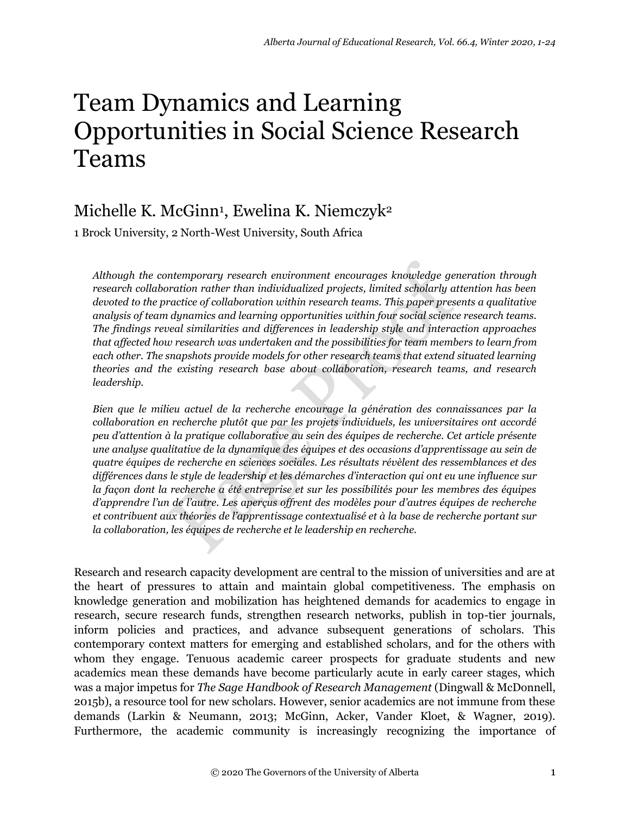# Team Dynamics and Learning Opportunities in Social Science Research Teams

# Michelle K. McGinn<sup>1</sup> , Ewelina K. Niemczyk<sup>2</sup>

1 Brock University, 2 North-West University, South Africa

*Although the contemporary research environment encourages knowledge generation through research collaboration rather than individualized projects, limited scholarly attention has been devoted to the practice of collaboration within research teams. This paper presents a qualitative analysis of team dynamics and learning opportunities within four social science research teams. The findings reveal similarities and differences in leadership style and interaction approaches that affected how research was undertaken and the possibilities for team members to learn from each other. The snapshots provide models for other research teams that extend situated learning theories and the existing research base about collaboration, research teams, and research leadership.*

*Bien que le milieu actuel de la recherche encourage la génération des connaissances par la collaboration en recherche plutôt que par les projets individuels, les universitaires ont accordé peu d'attention à la pratique collaborative au sein des équipes de recherche. Cet article présente une analyse qualitative de la dynamique des équipes et des occasions d'apprentissage au sein de quatre équipes de recherche en sciences sociales. Les résultats révèlent des ressemblances et des différences dans le style de leadership et les démarches d'interaction qui ont eu une influence sur la façon dont la recherche a été entreprise et sur les possibilités pour les membres des équipes d'apprendre l'un de l'autre. Les aperçus offrent des modèles pour d'autres équipes de recherche et contribuent aux théories de l'apprentissage contextualisé et à la base de recherche portant sur la collaboration, les équipes de recherche et le leadership en recherche.* 

Research and research capacity development are central to the mission of universities and are at the heart of pressures to attain and maintain global competitiveness. The emphasis on knowledge generation and mobilization has heightened demands for academics to engage in research, secure research funds, strengthen research networks, publish in top-tier journals, inform policies and practices, and advance subsequent generations of scholars. This contemporary context matters for emerging and established scholars, and for the others with whom they engage. Tenuous academic career prospects for graduate students and new academics mean these demands have become particularly acute in early career stages, which was a major impetus for *The Sage Handbook of Research Management* (Dingwall & McDonnell, 2015b), a resource tool for new scholars. However, senior academics are not immune from these demands (Larkin & Neumann, 2013; McGinn, Acker, Vander Kloet, & Wagner, 2019). Furthermore, the academic community is increasingly recognizing the importance of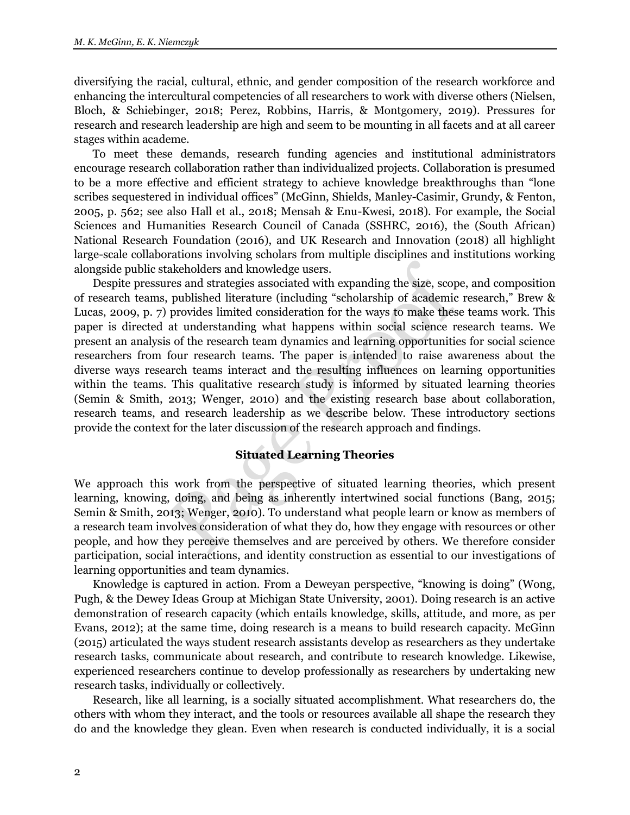diversifying the racial, cultural, ethnic, and gender composition of the research workforce and enhancing the intercultural competencies of all researchers to work with diverse others (Nielsen, Bloch, & Schiebinger, 2018; Perez, Robbins, Harris, & Montgomery, 2019). Pressures for research and research leadership are high and seem to be mounting in all facets and at all career stages within academe.

To meet these demands, research funding agencies and institutional administrators encourage research collaboration rather than individualized projects. Collaboration is presumed to be a more effective and efficient strategy to achieve knowledge breakthroughs than "lone scribes sequestered in individual offices" (McGinn, Shields, Manley-Casimir, Grundy, & Fenton, 2005, p. 562; see also Hall et al., 2018; Mensah & Enu-Kwesi, 2018). For example, the Social Sciences and Humanities Research Council of Canada (SSHRC, 2016), the (South African) National Research Foundation (2016), and UK Research and Innovation (2018) all highlight large-scale collaborations involving scholars from multiple disciplines and institutions working alongside public stakeholders and knowledge users.

Despite pressures and strategies associated with expanding the size, scope, and composition of research teams, published literature (including "scholarship of academic research," Brew & Lucas, 2009, p. 7) provides limited consideration for the ways to make these teams work. This paper is directed at understanding what happens within social science research teams. We present an analysis of the research team dynamics and learning opportunities for social science researchers from four research teams. The paper is intended to raise awareness about the diverse ways research teams interact and the resulting influences on learning opportunities within the teams. This qualitative research study is informed by situated learning theories (Semin & Smith, 2013; Wenger, 2010) and the existing research base about collaboration, research teams, and research leadership as we describe below. These introductory sections provide the context for the later discussion of the research approach and findings.

## **Situated Learning Theories**

We approach this work from the perspective of situated learning theories, which present learning, knowing, doing, and being as inherently intertwined social functions (Bang, 2015; Semin & Smith, 2013; Wenger, 2010). To understand what people learn or know as members of a research team involves consideration of what they do, how they engage with resources or other people, and how they perceive themselves and are perceived by others. We therefore consider participation, social interactions, and identity construction as essential to our investigations of learning opportunities and team dynamics.

Knowledge is captured in action. From a Deweyan perspective, "knowing is doing" (Wong, Pugh, & the Dewey Ideas Group at Michigan State University, 2001). Doing research is an active demonstration of research capacity (which entails knowledge, skills, attitude, and more, as per Evans, 2012); at the same time, doing research is a means to build research capacity. McGinn (2015) articulated the ways student research assistants develop as researchers as they undertake research tasks, communicate about research, and contribute to research knowledge. Likewise, experienced researchers continue to develop professionally as researchers by undertaking new research tasks, individually or collectively.

Research, like all learning, is a socially situated accomplishment. What researchers do, the others with whom they interact, and the tools or resources available all shape the research they do and the knowledge they glean. Even when research is conducted individually, it is a social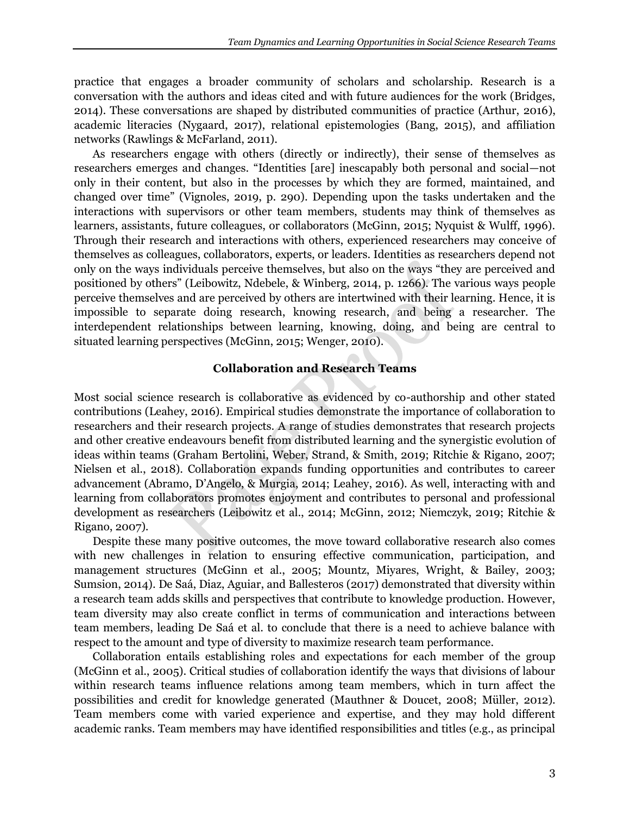practice that engages a broader community of scholars and scholarship. Research is a conversation with the authors and ideas cited and with future audiences for the work (Bridges, 2014). These conversations are shaped by distributed communities of practice (Arthur, 2016), academic literacies (Nygaard, 2017), relational epistemologies (Bang, 2015), and affiliation networks (Rawlings & McFarland, 2011).

As researchers engage with others (directly or indirectly), their sense of themselves as researchers emerges and changes. "Identities [are] inescapably both personal and social—not only in their content, but also in the processes by which they are formed, maintained, and changed over time" (Vignoles, 2019, p. 290). Depending upon the tasks undertaken and the interactions with supervisors or other team members, students may think of themselves as learners, assistants, future colleagues, or collaborators (McGinn, 2015; Nyquist & Wulff, 1996). Through their research and interactions with others, experienced researchers may conceive of themselves as colleagues, collaborators, experts, or leaders. Identities as researchers depend not only on the ways individuals perceive themselves, but also on the ways "they are perceived and positioned by others" (Leibowitz, Ndebele, & Winberg, 2014, p. 1266). The various ways people perceive themselves and are perceived by others are intertwined with their learning. Hence, it is impossible to separate doing research, knowing research, and being a researcher. The interdependent relationships between learning, knowing, doing, and being are central to situated learning perspectives (McGinn, 2015; Wenger, 2010).

# **Collaboration and Research Teams**

Most social science research is collaborative as evidenced by co-authorship and other stated contributions (Leahey, 2016). Empirical studies demonstrate the importance of collaboration to researchers and their research projects. A range of studies demonstrates that research projects and other creative endeavours benefit from distributed learning and the synergistic evolution of ideas within teams (Graham Bertolini, Weber, Strand, & Smith, 2019; Ritchie & Rigano, 2007; Nielsen et al., 2018). Collaboration expands funding opportunities and contributes to career advancement (Abramo, D'Angelo, & Murgia, 2014; Leahey, 2016). As well, interacting with and learning from collaborators promotes enjoyment and contributes to personal and professional development as researchers (Leibowitz et al., 2014; McGinn, 2012; Niemczyk, 2019; Ritchie & Rigano, 2007).

Despite these many positive outcomes, the move toward collaborative research also comes with new challenges in relation to ensuring effective communication, participation, and management structures (McGinn et al., 2005; Mountz, Miyares, Wright, & Bailey, 2003; Sumsion, 2014). De Saá, Diaz, Aguiar, and Ballesteros (2017) demonstrated that diversity within a research team adds skills and perspectives that contribute to knowledge production. However, team diversity may also create conflict in terms of communication and interactions between team members, leading De Saá et al. to conclude that there is a need to achieve balance with respect to the amount and type of diversity to maximize research team performance.

Collaboration entails establishing roles and expectations for each member of the group (McGinn et al., 2005). Critical studies of collaboration identify the ways that divisions of labour within research teams influence relations among team members, which in turn affect the possibilities and credit for knowledge generated (Mauthner & Doucet, 2008; Müller, 2012). Team members come with varied experience and expertise, and they may hold different academic ranks. Team members may have identified responsibilities and titles (e.g., as principal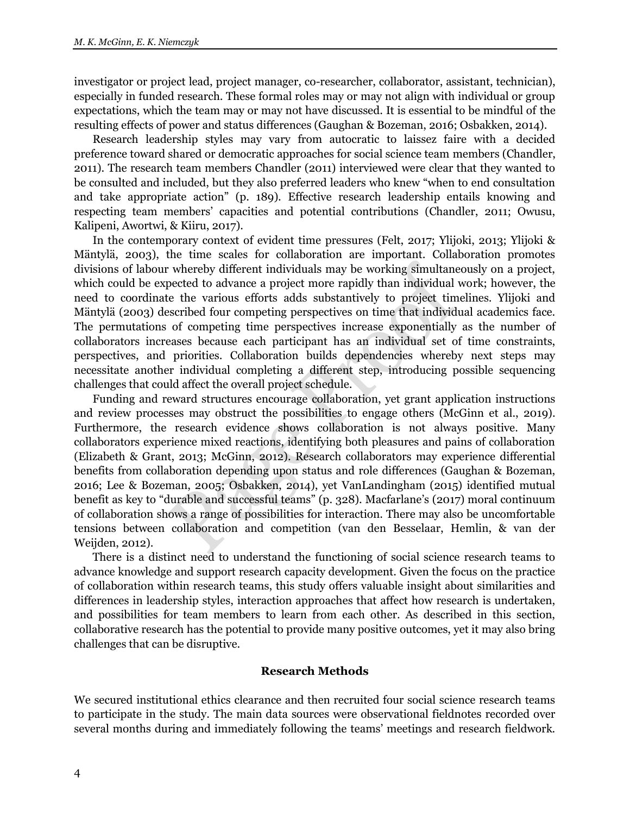investigator or project lead, project manager, co-researcher, collaborator, assistant, technician), especially in funded research. These formal roles may or may not align with individual or group expectations, which the team may or may not have discussed. It is essential to be mindful of the resulting effects of power and status differences (Gaughan & Bozeman, 2016; Osbakken, 2014).

Research leadership styles may vary from autocratic to laissez faire with a decided preference toward shared or democratic approaches for social science team members (Chandler, 2011). The research team members Chandler (2011) interviewed were clear that they wanted to be consulted and included, but they also preferred leaders who knew "when to end consultation and take appropriate action" (p. 189). Effective research leadership entails knowing and respecting team members' capacities and potential contributions (Chandler, 2011; Owusu, Kalipeni, Awortwi, & Kiiru, 2017).

In the contemporary context of evident time pressures (Felt, 2017; Ylijoki, 2013; Ylijoki & Mäntylä, 2003), the time scales for collaboration are important. Collaboration promotes divisions of labour whereby different individuals may be working simultaneously on a project, which could be expected to advance a project more rapidly than individual work; however, the need to coordinate the various efforts adds substantively to project timelines. Ylijoki and Mäntylä (2003) described four competing perspectives on time that individual academics face. The permutations of competing time perspectives increase exponentially as the number of collaborators increases because each participant has an individual set of time constraints, perspectives, and priorities. Collaboration builds dependencies whereby next steps may necessitate another individual completing a different step, introducing possible sequencing challenges that could affect the overall project schedule.

Funding and reward structures encourage collaboration, yet grant application instructions and review processes may obstruct the possibilities to engage others (McGinn et al., 2019). Furthermore, the research evidence shows collaboration is not always positive. Many collaborators experience mixed reactions, identifying both pleasures and pains of collaboration (Elizabeth & Grant, 2013; McGinn, 2012). Research collaborators may experience differential benefits from collaboration depending upon status and role differences (Gaughan & Bozeman, 2016; Lee & Bozeman, 2005; Osbakken, 2014), yet VanLandingham (2015) identified mutual benefit as key to "durable and successful teams" (p. 328). Macfarlane's (2017) moral continuum of collaboration shows a range of possibilities for interaction. There may also be uncomfortable tensions between collaboration and competition (van den Besselaar, Hemlin, & van der Weijden, 2012).

There is a distinct need to understand the functioning of social science research teams to advance knowledge and support research capacity development. Given the focus on the practice of collaboration within research teams, this study offers valuable insight about similarities and differences in leadership styles, interaction approaches that affect how research is undertaken, and possibilities for team members to learn from each other. As described in this section, collaborative research has the potential to provide many positive outcomes, yet it may also bring challenges that can be disruptive.

#### **Research Methods**

We secured institutional ethics clearance and then recruited four social science research teams to participate in the study. The main data sources were observational fieldnotes recorded over several months during and immediately following the teams' meetings and research fieldwork.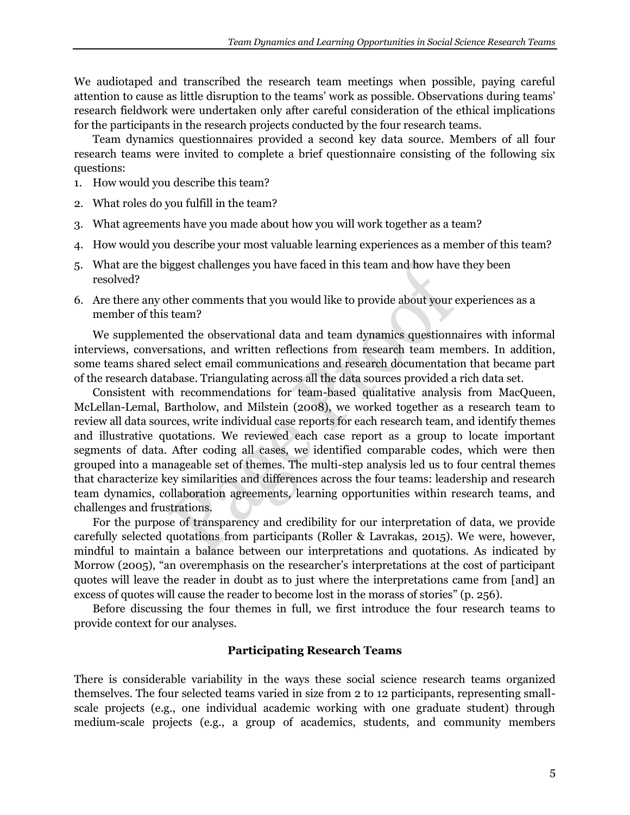We audiotaped and transcribed the research team meetings when possible, paying careful attention to cause as little disruption to the teams' work as possible. Observations during teams' research fieldwork were undertaken only after careful consideration of the ethical implications for the participants in the research projects conducted by the four research teams.

Team dynamics questionnaires provided a second key data source. Members of all four research teams were invited to complete a brief questionnaire consisting of the following six questions:

- 1. How would you describe this team?
- 2. What roles do you fulfill in the team?
- 3. What agreements have you made about how you will work together as a team?
- 4. How would you describe your most valuable learning experiences as a member of this team?
- 5. What are the biggest challenges you have faced in this team and how have they been resolved?
- 6. Are there any other comments that you would like to provide about your experiences as a member of this team?

We supplemented the observational data and team dynamics questionnaires with informal interviews, conversations, and written reflections from research team members. In addition, some teams shared select email communications and research documentation that became part of the research database. Triangulating across all the data sources provided a rich data set.

Consistent with recommendations for team-based qualitative analysis from MacQueen, McLellan-Lemal, Bartholow, and Milstein (2008), we worked together as a research team to review all data sources, write individual case reports for each research team, and identify themes and illustrative quotations. We reviewed each case report as a group to locate important segments of data. After coding all cases, we identified comparable codes, which were then grouped into a manageable set of themes. The multi-step analysis led us to four central themes that characterize key similarities and differences across the four teams: leadership and research team dynamics, collaboration agreements, learning opportunities within research teams, and challenges and frustrations.

For the purpose of transparency and credibility for our interpretation of data, we provide carefully selected quotations from participants (Roller & Lavrakas, 2015). We were, however, mindful to maintain a balance between our interpretations and quotations. As indicated by Morrow (2005), "an overemphasis on the researcher's interpretations at the cost of participant quotes will leave the reader in doubt as to just where the interpretations came from [and] an excess of quotes will cause the reader to become lost in the morass of stories" (p. 256).

Before discussing the four themes in full, we first introduce the four research teams to provide context for our analyses.

# **Participating Research Teams**

There is considerable variability in the ways these social science research teams organized themselves. The four selected teams varied in size from 2 to 12 participants, representing smallscale projects (e.g., one individual academic working with one graduate student) through medium-scale projects (e.g., a group of academics, students, and community members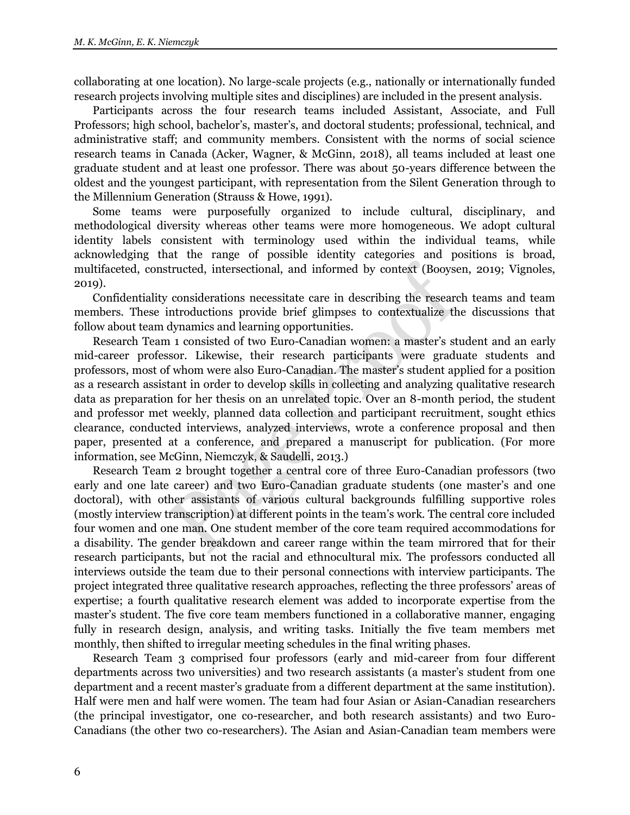collaborating at one location). No large-scale projects (e.g., nationally or internationally funded research projects involving multiple sites and disciplines) are included in the present analysis.

Participants across the four research teams included Assistant, Associate, and Full Professors; high school, bachelor's, master's, and doctoral students; professional, technical, and administrative staff; and community members. Consistent with the norms of social science research teams in Canada (Acker, Wagner, & McGinn, 2018), all teams included at least one graduate student and at least one professor. There was about 50-years difference between the oldest and the youngest participant, with representation from the Silent Generation through to the Millennium Generation (Strauss & Howe, 1991).

Some teams were purposefully organized to include cultural, disciplinary, and methodological diversity whereas other teams were more homogeneous. We adopt cultural identity labels consistent with terminology used within the individual teams, while acknowledging that the range of possible identity categories and positions is broad, multifaceted, constructed, intersectional, and informed by context (Booysen, 2019; Vignoles, 2019).

Confidentiality considerations necessitate care in describing the research teams and team members. These introductions provide brief glimpses to contextualize the discussions that follow about team dynamics and learning opportunities.

Research Team 1 consisted of two Euro-Canadian women: a master's student and an early mid-career professor. Likewise, their research participants were graduate students and professors, most of whom were also Euro-Canadian. The master's student applied for a position as a research assistant in order to develop skills in collecting and analyzing qualitative research data as preparation for her thesis on an unrelated topic. Over an 8-month period, the student and professor met weekly, planned data collection and participant recruitment, sought ethics clearance, conducted interviews, analyzed interviews, wrote a conference proposal and then paper, presented at a conference, and prepared a manuscript for publication. (For more information, see McGinn, Niemczyk, & Saudelli, 2013.)

Research Team 2 brought together a central core of three Euro-Canadian professors (two early and one late career) and two Euro-Canadian graduate students (one master's and one doctoral), with other assistants of various cultural backgrounds fulfilling supportive roles (mostly interview transcription) at different points in the team's work. The central core included four women and one man. One student member of the core team required accommodations for a disability. The gender breakdown and career range within the team mirrored that for their research participants, but not the racial and ethnocultural mix. The professors conducted all interviews outside the team due to their personal connections with interview participants. The project integrated three qualitative research approaches, reflecting the three professors' areas of expertise; a fourth qualitative research element was added to incorporate expertise from the master's student. The five core team members functioned in a collaborative manner, engaging fully in research design, analysis, and writing tasks. Initially the five team members met monthly, then shifted to irregular meeting schedules in the final writing phases.

Research Team 3 comprised four professors (early and mid-career from four different departments across two universities) and two research assistants (a master's student from one department and a recent master's graduate from a different department at the same institution). Half were men and half were women. The team had four Asian or Asian-Canadian researchers (the principal investigator, one co-researcher, and both research assistants) and two Euro-Canadians (the other two co-researchers). The Asian and Asian-Canadian team members were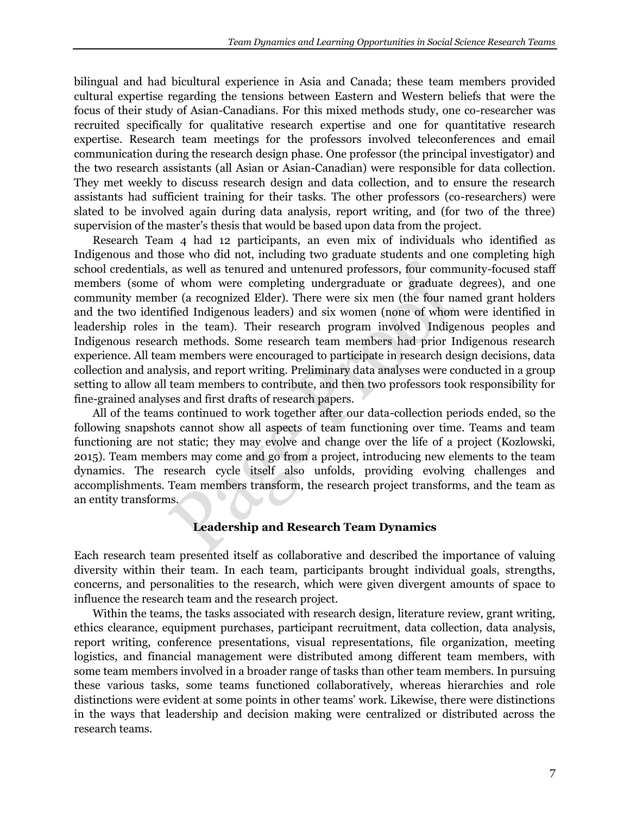bilingual and had bicultural experience in Asia and Canada; these team members provided cultural expertise regarding the tensions between Eastern and Western beliefs that were the focus of their study of Asian-Canadians. For this mixed methods study, one co-researcher was recruited specifically for qualitative research expertise and one for quantitative research expertise. Research team meetings for the professors involved teleconferences and email communication during the research design phase. One professor (the principal investigator) and the two research assistants (all Asian or Asian-Canadian) were responsible for data collection. They met weekly to discuss research design and data collection, and to ensure the research assistants had sufficient training for their tasks. The other professors (co-researchers) were slated to be involved again during data analysis, report writing, and (for two of the three) supervision of the master's thesis that would be based upon data from the project.

Research Team 4 had 12 participants, an even mix of individuals who identified as Indigenous and those who did not, including two graduate students and one completing high school credentials, as well as tenured and untenured professors, four community-focused staff members (some of whom were completing undergraduate or graduate degrees), and one community member (a recognized Elder). There were six men (the four named grant holders and the two identified Indigenous leaders) and six women (none of whom were identified in leadership roles in the team). Their research program involved Indigenous peoples and Indigenous research methods. Some research team members had prior Indigenous research experience. All team members were encouraged to participate in research design decisions, data collection and analysis, and report writing. Preliminary data analyses were conducted in a group setting to allow all team members to contribute, and then two professors took responsibility for fine-grained analyses and first drafts of research papers.

All of the teams continued to work together after our data-collection periods ended, so the following snapshots cannot show all aspects of team functioning over time. Teams and team functioning are not static; they may evolve and change over the life of a project (Kozlowski, 2015). Team members may come and go from a project, introducing new elements to the team dynamics. The research cycle itself also unfolds, providing evolving challenges and accomplishments. Team members transform, the research project transforms, and the team as an entity transforms.

# **Leadership and Research Team Dynamics**

Each research team presented itself as collaborative and described the importance of valuing diversity within their team. In each team, participants brought individual goals, strengths, concerns, and personalities to the research, which were given divergent amounts of space to influence the research team and the research project.

Within the teams, the tasks associated with research design, literature review, grant writing, ethics clearance, equipment purchases, participant recruitment, data collection, data analysis, report writing, conference presentations, visual representations, file organization, meeting logistics, and financial management were distributed among different team members, with some team members involved in a broader range of tasks than other team members. In pursuing these various tasks, some teams functioned collaboratively, whereas hierarchies and role distinctions were evident at some points in other teams' work. Likewise, there were distinctions in the ways that leadership and decision making were centralized or distributed across the research teams.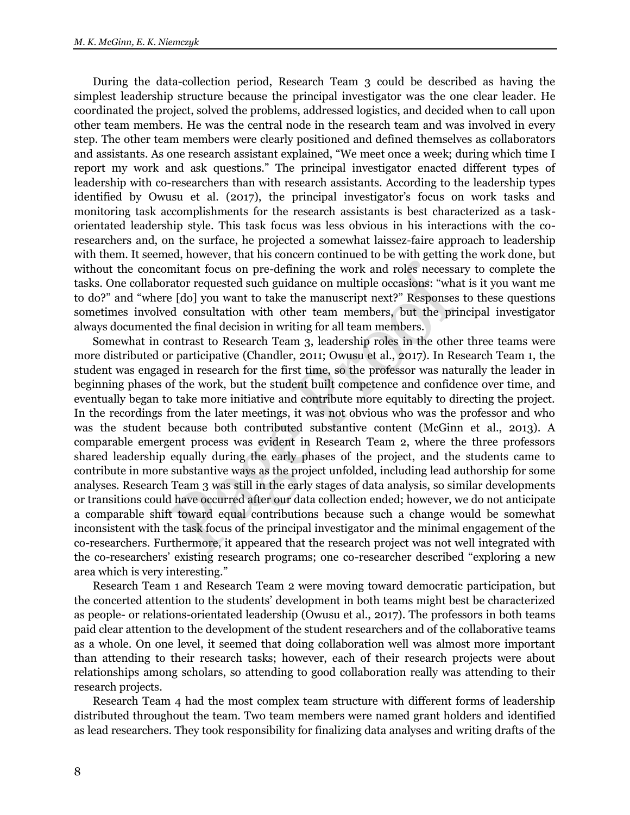During the data-collection period, Research Team 3 could be described as having the simplest leadership structure because the principal investigator was the one clear leader. He coordinated the project, solved the problems, addressed logistics, and decided when to call upon other team members. He was the central node in the research team and was involved in every step. The other team members were clearly positioned and defined themselves as collaborators and assistants. As one research assistant explained, "We meet once a week; during which time I report my work and ask questions." The principal investigator enacted different types of leadership with co-researchers than with research assistants. According to the leadership types identified by Owusu et al. (2017), the principal investigator's focus on work tasks and monitoring task accomplishments for the research assistants is best characterized as a taskorientated leadership style. This task focus was less obvious in his interactions with the coresearchers and, on the surface, he projected a somewhat laissez-faire approach to leadership with them. It seemed, however, that his concern continued to be with getting the work done, but without the concomitant focus on pre-defining the work and roles necessary to complete the tasks. One collaborator requested such guidance on multiple occasions: "what is it you want me to do?" and "where [do] you want to take the manuscript next?" Responses to these questions sometimes involved consultation with other team members, but the principal investigator always documented the final decision in writing for all team members.

Somewhat in contrast to Research Team 3, leadership roles in the other three teams were more distributed or participative (Chandler, 2011; Owusu et al., 2017). In Research Team 1, the student was engaged in research for the first time, so the professor was naturally the leader in beginning phases of the work, but the student built competence and confidence over time, and eventually began to take more initiative and contribute more equitably to directing the project. In the recordings from the later meetings, it was not obvious who was the professor and who was the student because both contributed substantive content (McGinn et al., 2013). A comparable emergent process was evident in Research Team 2, where the three professors shared leadership equally during the early phases of the project, and the students came to contribute in more substantive ways as the project unfolded, including lead authorship for some analyses. Research Team 3 was still in the early stages of data analysis, so similar developments or transitions could have occurred after our data collection ended; however, we do not anticipate a comparable shift toward equal contributions because such a change would be somewhat inconsistent with the task focus of the principal investigator and the minimal engagement of the co-researchers. Furthermore, it appeared that the research project was not well integrated with the co-researchers' existing research programs; one co-researcher described "exploring a new area which is very interesting."

Research Team 1 and Research Team 2 were moving toward democratic participation, but the concerted attention to the students' development in both teams might best be characterized as people- or relations-orientated leadership (Owusu et al., 2017). The professors in both teams paid clear attention to the development of the student researchers and of the collaborative teams as a whole. On one level, it seemed that doing collaboration well was almost more important than attending to their research tasks; however, each of their research projects were about relationships among scholars, so attending to good collaboration really was attending to their research projects.

Research Team 4 had the most complex team structure with different forms of leadership distributed throughout the team. Two team members were named grant holders and identified as lead researchers. They took responsibility for finalizing data analyses and writing drafts of the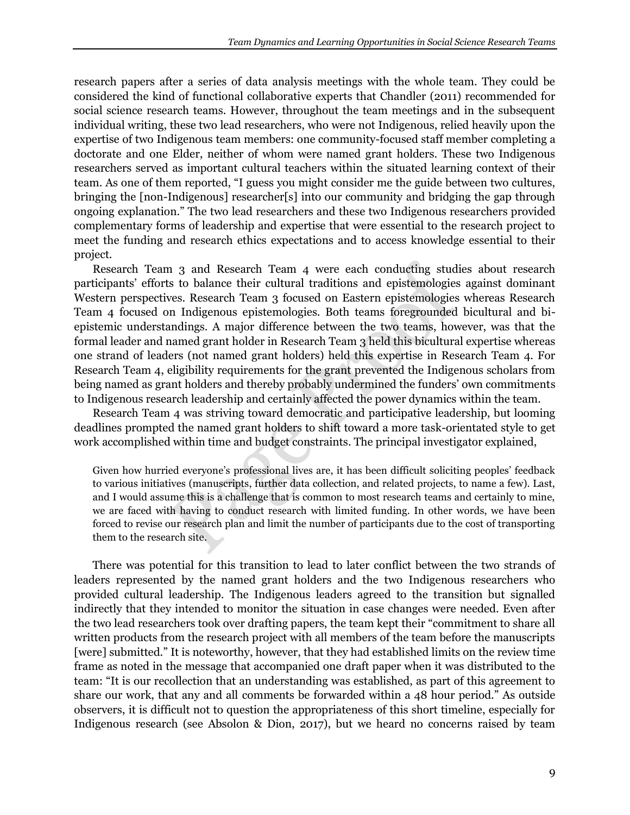research papers after a series of data analysis meetings with the whole team. They could be considered the kind of functional collaborative experts that Chandler (2011) recommended for social science research teams. However, throughout the team meetings and in the subsequent individual writing, these two lead researchers, who were not Indigenous, relied heavily upon the expertise of two Indigenous team members: one community-focused staff member completing a doctorate and one Elder, neither of whom were named grant holders. These two Indigenous researchers served as important cultural teachers within the situated learning context of their team. As one of them reported, "I guess you might consider me the guide between two cultures, bringing the [non-Indigenous] researcher[s] into our community and bridging the gap through ongoing explanation." The two lead researchers and these two Indigenous researchers provided complementary forms of leadership and expertise that were essential to the research project to meet the funding and research ethics expectations and to access knowledge essential to their project.

Research Team 3 and Research Team 4 were each conducting studies about research participants' efforts to balance their cultural traditions and epistemologies against dominant Western perspectives. Research Team 3 focused on Eastern epistemologies whereas Research Team 4 focused on Indigenous epistemologies. Both teams foregrounded bicultural and biepistemic understandings. A major difference between the two teams, however, was that the formal leader and named grant holder in Research Team 3 held this bicultural expertise whereas one strand of leaders (not named grant holders) held this expertise in Research Team 4. For Research Team 4, eligibility requirements for the grant prevented the Indigenous scholars from being named as grant holders and thereby probably undermined the funders' own commitments to Indigenous research leadership and certainly affected the power dynamics within the team.

Research Team 4 was striving toward democratic and participative leadership, but looming deadlines prompted the named grant holders to shift toward a more task-orientated style to get work accomplished within time and budget constraints. The principal investigator explained,

Given how hurried everyone's professional lives are, it has been difficult soliciting peoples' feedback to various initiatives (manuscripts, further data collection, and related projects, to name a few). Last, and I would assume this is a challenge that is common to most research teams and certainly to mine, we are faced with having to conduct research with limited funding. In other words, we have been forced to revise our research plan and limit the number of participants due to the cost of transporting them to the research site.

There was potential for this transition to lead to later conflict between the two strands of leaders represented by the named grant holders and the two Indigenous researchers who provided cultural leadership. The Indigenous leaders agreed to the transition but signalled indirectly that they intended to monitor the situation in case changes were needed. Even after the two lead researchers took over drafting papers, the team kept their "commitment to share all written products from the research project with all members of the team before the manuscripts [were] submitted." It is noteworthy, however, that they had established limits on the review time frame as noted in the message that accompanied one draft paper when it was distributed to the team: "It is our recollection that an understanding was established, as part of this agreement to share our work, that any and all comments be forwarded within a 48 hour period." As outside observers, it is difficult not to question the appropriateness of this short timeline, especially for Indigenous research (see Absolon & Dion, 2017), but we heard no concerns raised by team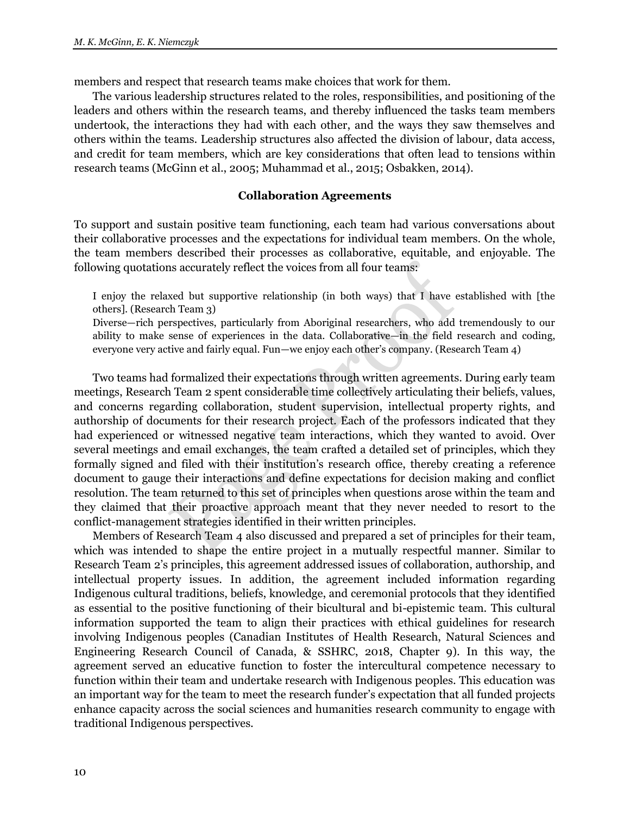members and respect that research teams make choices that work for them.

The various leadership structures related to the roles, responsibilities, and positioning of the leaders and others within the research teams, and thereby influenced the tasks team members undertook, the interactions they had with each other, and the ways they saw themselves and others within the teams. Leadership structures also affected the division of labour, data access, and credit for team members, which are key considerations that often lead to tensions within research teams (McGinn et al., 2005; Muhammad et al., 2015; Osbakken, 2014).

#### **Collaboration Agreements**

To support and sustain positive team functioning, each team had various conversations about their collaborative processes and the expectations for individual team members. On the whole, the team members described their processes as collaborative, equitable, and enjoyable. The following quotations accurately reflect the voices from all four teams:

I enjoy the relaxed but supportive relationship (in both ways) that I have established with [the others]. (Research Team 3)

Diverse—rich perspectives, particularly from Aboriginal researchers, who add tremendously to our ability to make sense of experiences in the data. Collaborative—in the field research and coding, everyone very active and fairly equal. Fun—we enjoy each other's company. (Research Team 4)

Two teams had formalized their expectations through written agreements. During early team meetings, Research Team 2 spent considerable time collectively articulating their beliefs, values, and concerns regarding collaboration, student supervision, intellectual property rights, and authorship of documents for their research project. Each of the professors indicated that they had experienced or witnessed negative team interactions, which they wanted to avoid. Over several meetings and email exchanges, the team crafted a detailed set of principles, which they formally signed and filed with their institution's research office, thereby creating a reference document to gauge their interactions and define expectations for decision making and conflict resolution. The team returned to this set of principles when questions arose within the team and they claimed that their proactive approach meant that they never needed to resort to the conflict-management strategies identified in their written principles.

Members of Research Team 4 also discussed and prepared a set of principles for their team, which was intended to shape the entire project in a mutually respectful manner. Similar to Research Team 2's principles, this agreement addressed issues of collaboration, authorship, and intellectual property issues. In addition, the agreement included information regarding Indigenous cultural traditions, beliefs, knowledge, and ceremonial protocols that they identified as essential to the positive functioning of their bicultural and bi-epistemic team. This cultural information supported the team to align their practices with ethical guidelines for research involving Indigenous peoples (Canadian Institutes of Health Research, Natural Sciences and Engineering Research Council of Canada, & SSHRC, 2018, Chapter 9). In this way, the agreement served an educative function to foster the intercultural competence necessary to function within their team and undertake research with Indigenous peoples. This education was an important way for the team to meet the research funder's expectation that all funded projects enhance capacity across the social sciences and humanities research community to engage with traditional Indigenous perspectives.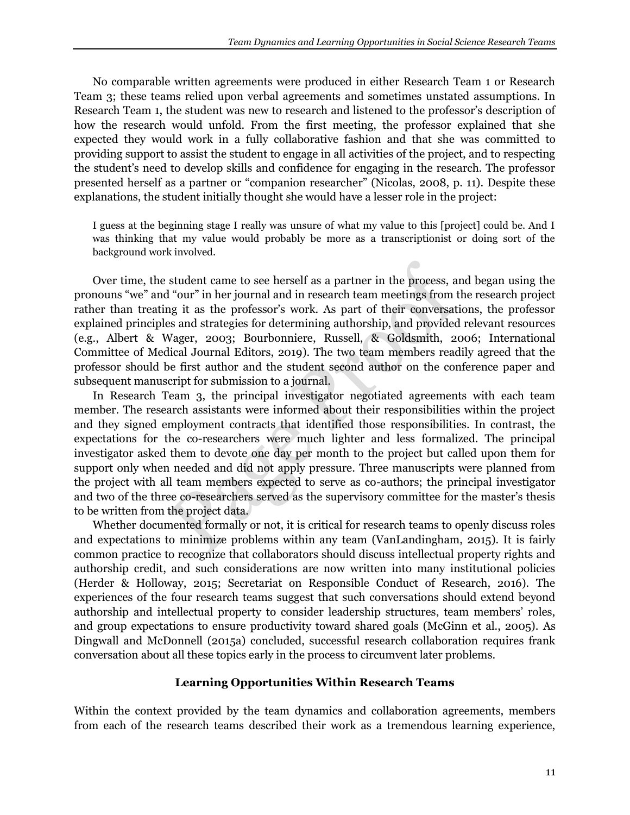No comparable written agreements were produced in either Research Team 1 or Research Team 3; these teams relied upon verbal agreements and sometimes unstated assumptions. In Research Team 1, the student was new to research and listened to the professor's description of how the research would unfold. From the first meeting, the professor explained that she expected they would work in a fully collaborative fashion and that she was committed to providing support to assist the student to engage in all activities of the project, and to respecting the student's need to develop skills and confidence for engaging in the research. The professor presented herself as a partner or "companion researcher" (Nicolas, 2008, p. 11). Despite these explanations, the student initially thought she would have a lesser role in the project:

I guess at the beginning stage I really was unsure of what my value to this [project] could be. And I was thinking that my value would probably be more as a transcriptionist or doing sort of the background work involved.

Over time, the student came to see herself as a partner in the process, and began using the pronouns "we" and "our" in her journal and in research team meetings from the research project rather than treating it as the professor's work. As part of their conversations, the professor explained principles and strategies for determining authorship, and provided relevant resources (e.g., Albert & Wager, 2003; Bourbonniere, Russell, & Goldsmith, 2006; International Committee of Medical Journal Editors, 2019). The two team members readily agreed that the professor should be first author and the student second author on the conference paper and subsequent manuscript for submission to a journal.

In Research Team 3, the principal investigator negotiated agreements with each team member. The research assistants were informed about their responsibilities within the project and they signed employment contracts that identified those responsibilities. In contrast, the expectations for the co-researchers were much lighter and less formalized. The principal investigator asked them to devote one day per month to the project but called upon them for support only when needed and did not apply pressure. Three manuscripts were planned from the project with all team members expected to serve as co-authors; the principal investigator and two of the three co-researchers served as the supervisory committee for the master's thesis to be written from the project data.

Whether documented formally or not, it is critical for research teams to openly discuss roles and expectations to minimize problems within any team (VanLandingham, 2015). It is fairly common practice to recognize that collaborators should discuss intellectual property rights and authorship credit, and such considerations are now written into many institutional policies (Herder & Holloway, 2015; Secretariat on Responsible Conduct of Research, 2016). The experiences of the four research teams suggest that such conversations should extend beyond authorship and intellectual property to consider leadership structures, team members' roles, and group expectations to ensure productivity toward shared goals (McGinn et al., 2005). As Dingwall and McDonnell (2015a) concluded, successful research collaboration requires frank conversation about all these topics early in the process to circumvent later problems.

# **Learning Opportunities Within Research Teams**

Within the context provided by the team dynamics and collaboration agreements, members from each of the research teams described their work as a tremendous learning experience,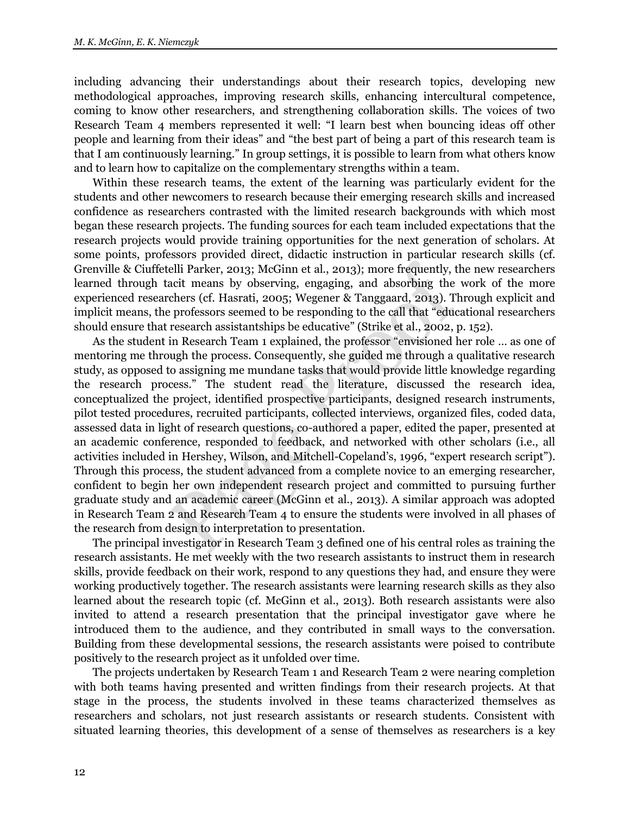including advancing their understandings about their research topics, developing new methodological approaches, improving research skills, enhancing intercultural competence, coming to know other researchers, and strengthening collaboration skills. The voices of two Research Team 4 members represented it well: "I learn best when bouncing ideas off other people and learning from their ideas" and "the best part of being a part of this research team is that I am continuously learning." In group settings, it is possible to learn from what others know and to learn how to capitalize on the complementary strengths within a team.

Within these research teams, the extent of the learning was particularly evident for the students and other newcomers to research because their emerging research skills and increased confidence as researchers contrasted with the limited research backgrounds with which most began these research projects. The funding sources for each team included expectations that the research projects would provide training opportunities for the next generation of scholars. At some points, professors provided direct, didactic instruction in particular research skills (cf. Grenville & Ciuffetelli Parker, 2013; McGinn et al., 2013); more frequently, the new researchers learned through tacit means by observing, engaging, and absorbing the work of the more experienced researchers (cf. Hasrati, 2005; Wegener & Tanggaard, 2013). Through explicit and implicit means, the professors seemed to be responding to the call that "educational researchers should ensure that research assistantships be educative" (Strike et al., 2002, p. 152).

As the student in Research Team 1 explained, the professor "envisioned her role … as one of mentoring me through the process. Consequently, she guided me through a qualitative research study, as opposed to assigning me mundane tasks that would provide little knowledge regarding the research process." The student read the literature, discussed the research idea, conceptualized the project, identified prospective participants, designed research instruments, pilot tested procedures, recruited participants, collected interviews, organized files, coded data, assessed data in light of research questions, co-authored a paper, edited the paper, presented at an academic conference, responded to feedback, and networked with other scholars (i.e., all activities included in Hershey, Wilson, and Mitchell-Copeland's, 1996, "expert research script"). Through this process, the student advanced from a complete novice to an emerging researcher, confident to begin her own independent research project and committed to pursuing further graduate study and an academic career (McGinn et al., 2013). A similar approach was adopted in Research Team 2 and Research Team 4 to ensure the students were involved in all phases of the research from design to interpretation to presentation.

The principal investigator in Research Team 3 defined one of his central roles as training the research assistants. He met weekly with the two research assistants to instruct them in research skills, provide feedback on their work, respond to any questions they had, and ensure they were working productively together. The research assistants were learning research skills as they also learned about the research topic (cf. McGinn et al., 2013). Both research assistants were also invited to attend a research presentation that the principal investigator gave where he introduced them to the audience, and they contributed in small ways to the conversation. Building from these developmental sessions, the research assistants were poised to contribute positively to the research project as it unfolded over time.

The projects undertaken by Research Team 1 and Research Team 2 were nearing completion with both teams having presented and written findings from their research projects. At that stage in the process, the students involved in these teams characterized themselves as researchers and scholars, not just research assistants or research students. Consistent with situated learning theories, this development of a sense of themselves as researchers is a key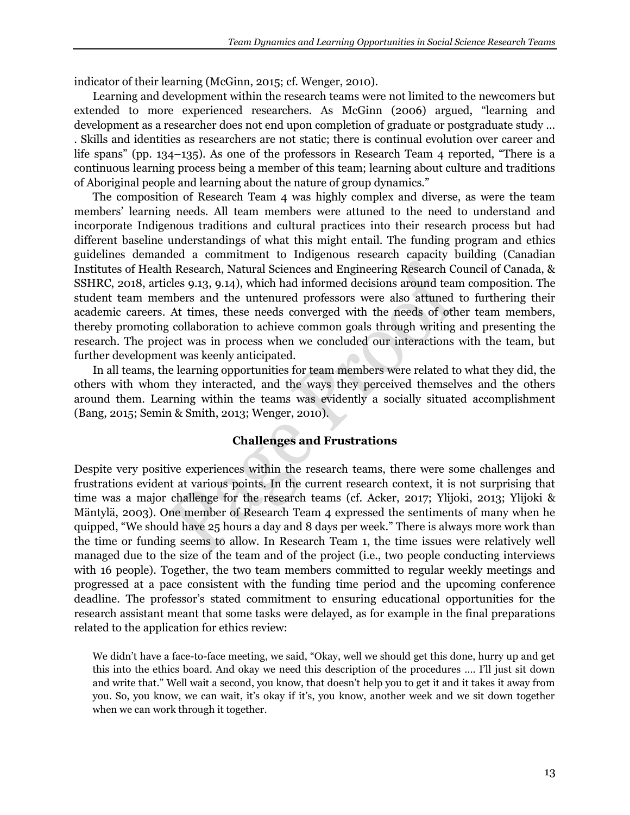indicator of their learning (McGinn, 2015; cf. Wenger, 2010).

Learning and development within the research teams were not limited to the newcomers but extended to more experienced researchers. As McGinn (2006) argued, "learning and development as a researcher does not end upon completion of graduate or postgraduate study ... . Skills and identities as researchers are not static; there is continual evolution over career and life spans" (pp. 134–135). As one of the professors in Research Team 4 reported, "There is a continuous learning process being a member of this team; learning about culture and traditions of Aboriginal people and learning about the nature of group dynamics."

The composition of Research Team 4 was highly complex and diverse, as were the team members' learning needs. All team members were attuned to the need to understand and incorporate Indigenous traditions and cultural practices into their research process but had different baseline understandings of what this might entail. The funding program and ethics guidelines demanded a commitment to Indigenous research capacity building (Canadian Institutes of Health Research, Natural Sciences and Engineering Research Council of Canada, & SSHRC, 2018, articles 9.13, 9.14), which had informed decisions around team composition. The student team members and the untenured professors were also attuned to furthering their academic careers. At times, these needs converged with the needs of other team members, thereby promoting collaboration to achieve common goals through writing and presenting the research. The project was in process when we concluded our interactions with the team, but further development was keenly anticipated.

In all teams, the learning opportunities for team members were related to what they did, the others with whom they interacted, and the ways they perceived themselves and the others around them. Learning within the teams was evidently a socially situated accomplishment (Bang, 2015; Semin & Smith, 2013; Wenger, 2010).

# **Challenges and Frustrations**

Despite very positive experiences within the research teams, there were some challenges and frustrations evident at various points. In the current research context, it is not surprising that time was a major challenge for the research teams (cf. Acker, 2017; Ylijoki, 2013; Ylijoki & Mäntylä, 2003). One member of Research Team 4 expressed the sentiments of many when he quipped, "We should have 25 hours a day and 8 days per week." There is always more work than the time or funding seems to allow. In Research Team 1, the time issues were relatively well managed due to the size of the team and of the project (i.e., two people conducting interviews with 16 people). Together, the two team members committed to regular weekly meetings and progressed at a pace consistent with the funding time period and the upcoming conference deadline. The professor's stated commitment to ensuring educational opportunities for the research assistant meant that some tasks were delayed, as for example in the final preparations related to the application for ethics review:

We didn't have a face-to-face meeting, we said, "Okay, well we should get this done, hurry up and get this into the ethics board. And okay we need this description of the procedures …. I'll just sit down and write that." Well wait a second, you know, that doesn't help you to get it and it takes it away from you. So, you know, we can wait, it's okay if it's, you know, another week and we sit down together when we can work through it together.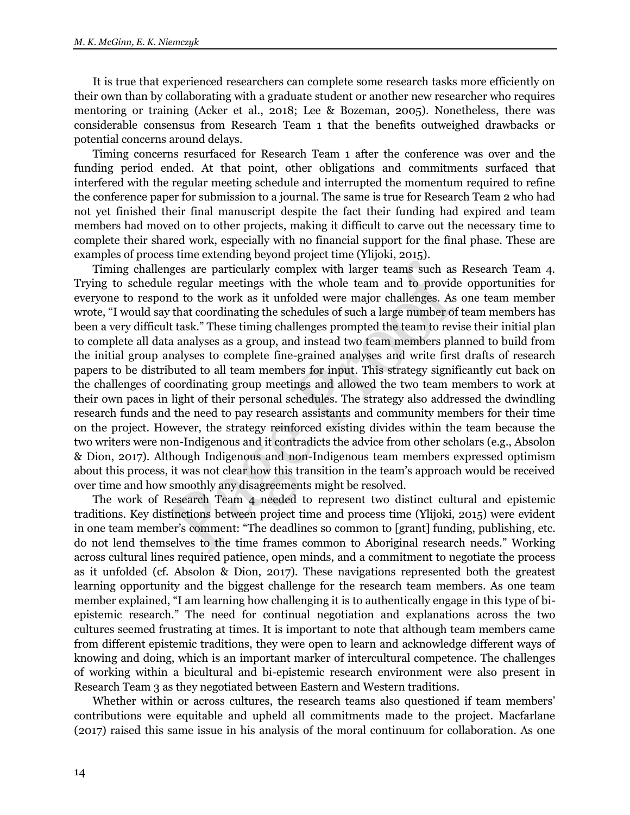It is true that experienced researchers can complete some research tasks more efficiently on their own than by collaborating with a graduate student or another new researcher who requires mentoring or training (Acker et al., 2018; Lee & Bozeman, 2005). Nonetheless, there was considerable consensus from Research Team 1 that the benefits outweighed drawbacks or potential concerns around delays.

Timing concerns resurfaced for Research Team 1 after the conference was over and the funding period ended. At that point, other obligations and commitments surfaced that interfered with the regular meeting schedule and interrupted the momentum required to refine the conference paper for submission to a journal. The same is true for Research Team 2 who had not yet finished their final manuscript despite the fact their funding had expired and team members had moved on to other projects, making it difficult to carve out the necessary time to complete their shared work, especially with no financial support for the final phase. These are examples of process time extending beyond project time (Ylijoki, 2015).

Timing challenges are particularly complex with larger teams such as Research Team 4. Trying to schedule regular meetings with the whole team and to provide opportunities for everyone to respond to the work as it unfolded were major challenges. As one team member wrote, "I would say that coordinating the schedules of such a large number of team members has been a very difficult task." These timing challenges prompted the team to revise their initial plan to complete all data analyses as a group, and instead two team members planned to build from the initial group analyses to complete fine-grained analyses and write first drafts of research papers to be distributed to all team members for input. This strategy significantly cut back on the challenges of coordinating group meetings and allowed the two team members to work at their own paces in light of their personal schedules. The strategy also addressed the dwindling research funds and the need to pay research assistants and community members for their time on the project. However, the strategy reinforced existing divides within the team because the two writers were non-Indigenous and it contradicts the advice from other scholars (e.g., Absolon & Dion, 2017). Although Indigenous and non-Indigenous team members expressed optimism about this process, it was not clear how this transition in the team's approach would be received over time and how smoothly any disagreements might be resolved.

The work of Research Team 4 needed to represent two distinct cultural and epistemic traditions. Key distinctions between project time and process time (Ylijoki, 2015) were evident in one team member's comment: "The deadlines so common to [grant] funding, publishing, etc. do not lend themselves to the time frames common to Aboriginal research needs." Working across cultural lines required patience, open minds, and a commitment to negotiate the process as it unfolded (cf. Absolon & Dion, 2017). These navigations represented both the greatest learning opportunity and the biggest challenge for the research team members. As one team member explained, "I am learning how challenging it is to authentically engage in this type of biepistemic research." The need for continual negotiation and explanations across the two cultures seemed frustrating at times. It is important to note that although team members came from different epistemic traditions, they were open to learn and acknowledge different ways of knowing and doing, which is an important marker of intercultural competence. The challenges of working within a bicultural and bi-epistemic research environment were also present in Research Team 3 as they negotiated between Eastern and Western traditions.

Whether within or across cultures, the research teams also questioned if team members' contributions were equitable and upheld all commitments made to the project. Macfarlane (2017) raised this same issue in his analysis of the moral continuum for collaboration. As one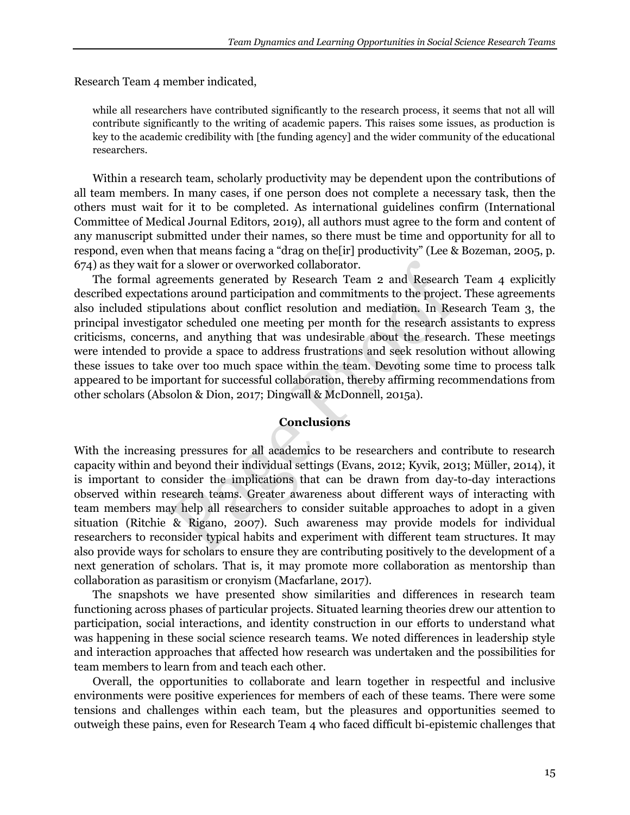Research Team 4 member indicated,

while all researchers have contributed significantly to the research process, it seems that not all will contribute significantly to the writing of academic papers. This raises some issues, as production is key to the academic credibility with [the funding agency] and the wider community of the educational researchers.

Within a research team, scholarly productivity may be dependent upon the contributions of all team members. In many cases, if one person does not complete a necessary task, then the others must wait for it to be completed. As international guidelines confirm (International Committee of Medical Journal Editors, 2019), all authors must agree to the form and content of any manuscript submitted under their names, so there must be time and opportunity for all to respond, even when that means facing a "drag on the[ir] productivity" (Lee & Bozeman, 2005, p. 674) as they wait for a slower or overworked collaborator.

The formal agreements generated by Research Team 2 and Research Team 4 explicitly described expectations around participation and commitments to the project. These agreements also included stipulations about conflict resolution and mediation. In Research Team 3, the principal investigator scheduled one meeting per month for the research assistants to express criticisms, concerns, and anything that was undesirable about the research. These meetings were intended to provide a space to address frustrations and seek resolution without allowing these issues to take over too much space within the team. Devoting some time to process talk appeared to be important for successful collaboration, thereby affirming recommendations from other scholars (Absolon & Dion, 2017; Dingwall & McDonnell, 2015a).

# **Conclusions**

With the increasing pressures for all academics to be researchers and contribute to research capacity within and beyond their individual settings (Evans, 2012; Kyvik, 2013; Müller, 2014), it is important to consider the implications that can be drawn from day-to-day interactions observed within research teams. Greater awareness about different ways of interacting with team members may help all researchers to consider suitable approaches to adopt in a given situation (Ritchie & Rigano, 2007). Such awareness may provide models for individual researchers to reconsider typical habits and experiment with different team structures. It may also provide ways for scholars to ensure they are contributing positively to the development of a next generation of scholars. That is, it may promote more collaboration as mentorship than collaboration as parasitism or cronyism (Macfarlane, 2017).

The snapshots we have presented show similarities and differences in research team functioning across phases of particular projects. Situated learning theories drew our attention to participation, social interactions, and identity construction in our efforts to understand what was happening in these social science research teams. We noted differences in leadership style and interaction approaches that affected how research was undertaken and the possibilities for team members to learn from and teach each other.

Overall, the opportunities to collaborate and learn together in respectful and inclusive environments were positive experiences for members of each of these teams. There were some tensions and challenges within each team, but the pleasures and opportunities seemed to outweigh these pains, even for Research Team 4 who faced difficult bi-epistemic challenges that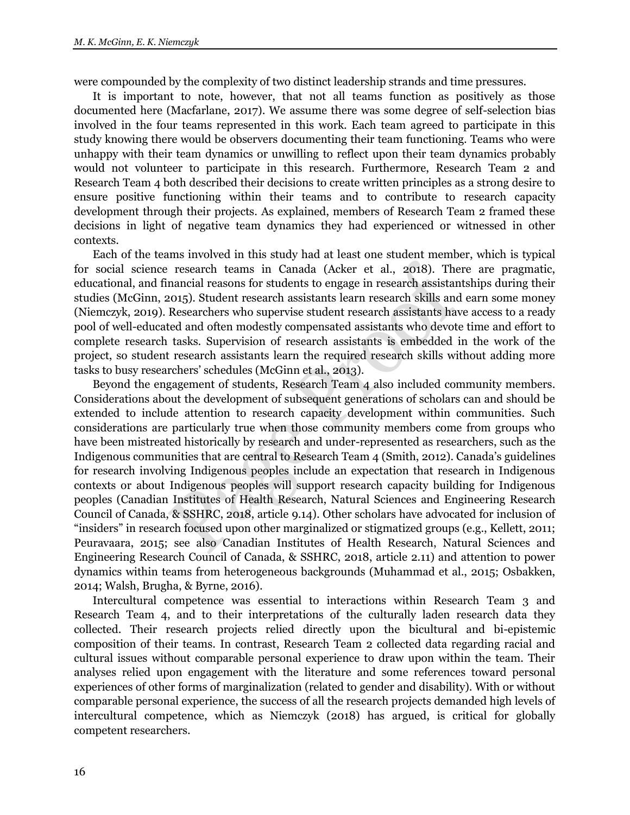were compounded by the complexity of two distinct leadership strands and time pressures.

It is important to note, however, that not all teams function as positively as those documented here (Macfarlane, 2017). We assume there was some degree of self-selection bias involved in the four teams represented in this work. Each team agreed to participate in this study knowing there would be observers documenting their team functioning. Teams who were unhappy with their team dynamics or unwilling to reflect upon their team dynamics probably would not volunteer to participate in this research. Furthermore, Research Team 2 and Research Team 4 both described their decisions to create written principles as a strong desire to ensure positive functioning within their teams and to contribute to research capacity development through their projects. As explained, members of Research Team 2 framed these decisions in light of negative team dynamics they had experienced or witnessed in other contexts.

Each of the teams involved in this study had at least one student member, which is typical for social science research teams in Canada (Acker et al., 2018). There are pragmatic, educational, and financial reasons for students to engage in research assistantships during their studies (McGinn, 2015). Student research assistants learn research skills and earn some money (Niemczyk, 2019). Researchers who supervise student research assistants have access to a ready pool of well-educated and often modestly compensated assistants who devote time and effort to complete research tasks. Supervision of research assistants is embedded in the work of the project, so student research assistants learn the required research skills without adding more tasks to busy researchers' schedules (McGinn et al., 2013).

Beyond the engagement of students, Research Team 4 also included community members. Considerations about the development of subsequent generations of scholars can and should be extended to include attention to research capacity development within communities. Such considerations are particularly true when those community members come from groups who have been mistreated historically by research and under-represented as researchers, such as the Indigenous communities that are central to Research Team 4 (Smith, 2012). Canada's guidelines for research involving Indigenous peoples include an expectation that research in Indigenous contexts or about Indigenous peoples will support research capacity building for Indigenous peoples (Canadian Institutes of Health Research, Natural Sciences and Engineering Research Council of Canada, & SSHRC, 2018, article 9.14). Other scholars have advocated for inclusion of "insiders" in research focused upon other marginalized or stigmatized groups (e.g., Kellett, 2011; Peuravaara, 2015; see also Canadian Institutes of Health Research, Natural Sciences and Engineering Research Council of Canada, & SSHRC, 2018, article 2.11) and attention to power dynamics within teams from heterogeneous backgrounds (Muhammad et al., 2015; Osbakken, 2014; Walsh, Brugha, & Byrne, 2016).

Intercultural competence was essential to interactions within Research Team 3 and Research Team 4, and to their interpretations of the culturally laden research data they collected. Their research projects relied directly upon the bicultural and bi-epistemic composition of their teams. In contrast, Research Team 2 collected data regarding racial and cultural issues without comparable personal experience to draw upon within the team. Their analyses relied upon engagement with the literature and some references toward personal experiences of other forms of marginalization (related to gender and disability). With or without comparable personal experience, the success of all the research projects demanded high levels of intercultural competence, which as Niemczyk (2018) has argued, is critical for globally competent researchers.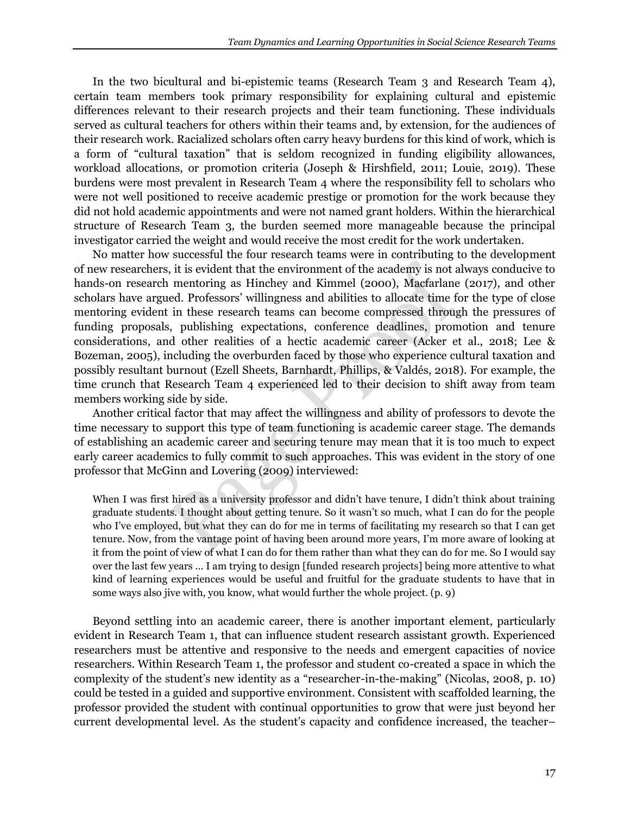In the two bicultural and bi-epistemic teams (Research Team 3 and Research Team 4), certain team members took primary responsibility for explaining cultural and epistemic differences relevant to their research projects and their team functioning. These individuals served as cultural teachers for others within their teams and, by extension, for the audiences of their research work. Racialized scholars often carry heavy burdens for this kind of work, which is a form of "cultural taxation" that is seldom recognized in funding eligibility allowances, workload allocations, or promotion criteria (Joseph & Hirshfield, 2011; Louie, 2019). These burdens were most prevalent in Research Team 4 where the responsibility fell to scholars who were not well positioned to receive academic prestige or promotion for the work because they did not hold academic appointments and were not named grant holders. Within the hierarchical structure of Research Team 3, the burden seemed more manageable because the principal investigator carried the weight and would receive the most credit for the work undertaken.

No matter how successful the four research teams were in contributing to the development of new researchers, it is evident that the environment of the academy is not always conducive to hands-on research mentoring as Hinchey and Kimmel (2000), Macfarlane (2017), and other scholars have argued. Professors' willingness and abilities to allocate time for the type of close mentoring evident in these research teams can become compressed through the pressures of funding proposals, publishing expectations, conference deadlines, promotion and tenure considerations, and other realities of a hectic academic career (Acker et al., 2018; Lee & Bozeman, 2005), including the overburden faced by those who experience cultural taxation and possibly resultant burnout (Ezell Sheets, Barnhardt, Phillips, & Valdés, 2018). For example, the time crunch that Research Team 4 experienced led to their decision to shift away from team members working side by side.

Another critical factor that may affect the willingness and ability of professors to devote the time necessary to support this type of team functioning is academic career stage. The demands of establishing an academic career and securing tenure may mean that it is too much to expect early career academics to fully commit to such approaches. This was evident in the story of one professor that McGinn and Lovering (2009) interviewed:

When I was first hired as a university professor and didn't have tenure, I didn't think about training graduate students. I thought about getting tenure. So it wasn't so much, what I can do for the people who I've employed, but what they can do for me in terms of facilitating my research so that I can get tenure. Now, from the vantage point of having been around more years, I'm more aware of looking at it from the point of view of what I can do for them rather than what they can do for me. So I would say over the last few years ... I am trying to design [funded research projects] being more attentive to what kind of learning experiences would be useful and fruitful for the graduate students to have that in some ways also jive with, you know, what would further the whole project. (p. 9)

Beyond settling into an academic career, there is another important element, particularly evident in Research Team 1, that can influence student research assistant growth. Experienced researchers must be attentive and responsive to the needs and emergent capacities of novice researchers. Within Research Team 1, the professor and student co-created a space in which the complexity of the student's new identity as a "researcher-in-the-making" (Nicolas, 2008, p. 10) could be tested in a guided and supportive environment. Consistent with scaffolded learning, the professor provided the student with continual opportunities to grow that were just beyond her current developmental level. As the student's capacity and confidence increased, the teacher–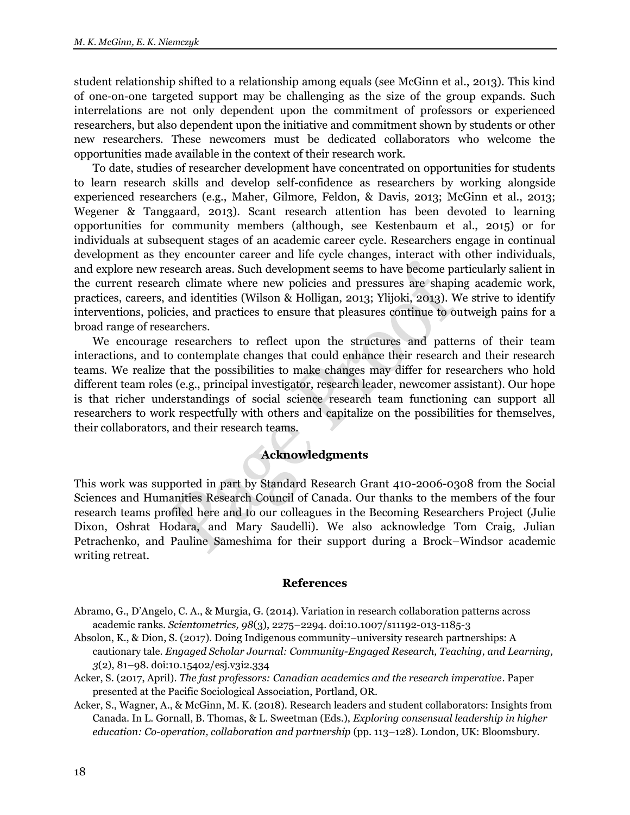student relationship shifted to a relationship among equals (see McGinn et al., 2013). This kind of one-on-one targeted support may be challenging as the size of the group expands. Such interrelations are not only dependent upon the commitment of professors or experienced researchers, but also dependent upon the initiative and commitment shown by students or other new researchers. These newcomers must be dedicated collaborators who welcome the opportunities made available in the context of their research work.

To date, studies of researcher development have concentrated on opportunities for students to learn research skills and develop self-confidence as researchers by working alongside experienced researchers (e.g., Maher, Gilmore, Feldon, & Davis, 2013; McGinn et al., 2013; Wegener & Tanggaard, 2013). Scant research attention has been devoted to learning opportunities for community members (although, see Kestenbaum et al., 2015) or for individuals at subsequent stages of an academic career cycle. Researchers engage in continual development as they encounter career and life cycle changes, interact with other individuals, and explore new research areas. Such development seems to have become particularly salient in the current research climate where new policies and pressures are shaping academic work, practices, careers, and identities (Wilson & Holligan, 2013; Ylijoki, 2013). We strive to identify interventions, policies, and practices to ensure that pleasures continue to outweigh pains for a broad range of researchers.

We encourage researchers to reflect upon the structures and patterns of their team interactions, and to contemplate changes that could enhance their research and their research teams. We realize that the possibilities to make changes may differ for researchers who hold different team roles (e.g., principal investigator, research leader, newcomer assistant). Our hope is that richer understandings of social science research team functioning can support all researchers to work respectfully with others and capitalize on the possibilities for themselves, their collaborators, and their research teams.

# **Acknowledgments**

This work was supported in part by Standard Research Grant 410-2006-0308 from the Social Sciences and Humanities Research Council of Canada. Our thanks to the members of the four research teams profiled here and to our colleagues in the Becoming Researchers Project (Julie Dixon, Oshrat Hodara, and Mary Saudelli). We also acknowledge Tom Craig, Julian Petrachenko, and Pauline Sameshima for their support during a Brock–Windsor academic writing retreat.

## **References**

- Abramo, G., D'Angelo, C. A., & Murgia, G. (2014). Variation in research collaboration patterns across academic ranks. *Scientometrics, 98*(3), 2275–2294. doi:10.1007/s11192-013-1185-3
- Absolon, K., & Dion, S. (2017). Doing Indigenous community–university research partnerships: A cautionary tale. *Engaged Scholar Journal: Community-Engaged Research, Teaching, and Learning, 3*(2), 81–98. doi:10.15402/esj.v3i2.334
- Acker, S. (2017, April). *The fast professors: Canadian academics and the research imperative*. Paper presented at the Pacific Sociological Association, Portland, OR.
- Acker, S., Wagner, A., & McGinn, M. K. (2018). Research leaders and student collaborators: Insights from Canada. In L. Gornall, B. Thomas, & L. Sweetman (Eds.), *Exploring consensual leadership in higher education: Co-operation, collaboration and partnership* (pp. 113–128). London, UK: Bloomsbury.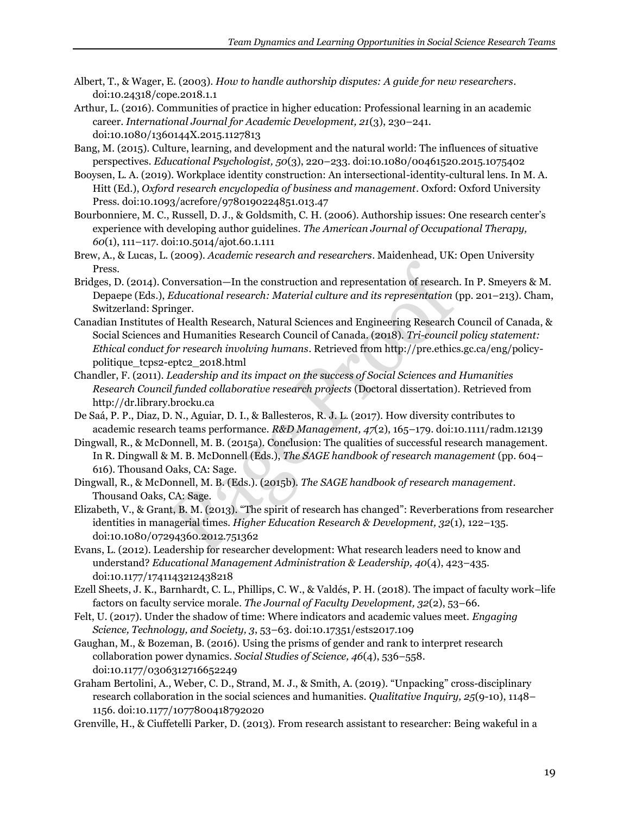- Albert, T., & Wager, E. (2003). *How to handle authorship disputes: A guide for new researchers*. doi:10.24318/cope.2018.1.1
- Arthur, L. (2016). Communities of practice in higher education: Professional learning in an academic career. *International Journal for Academic Development, 21*(3), 230–241. doi:10.1080/1360144X.2015.1127813
- Bang, M. (2015). Culture, learning, and development and the natural world: The influences of situative perspectives. *Educational Psychologist, 50*(3), 220–233. doi:10.1080/00461520.2015.1075402
- Booysen, L. A. (2019). Workplace identity construction: An intersectional-identity-cultural lens. In M. A. Hitt (Ed.), *Oxford research encyclopedia of business and management*. Oxford: Oxford University Press. doi:10.1093/acrefore/9780190224851.013.47
- Bourbonniere, M. C., Russell, D. J., & Goldsmith, C. H. (2006). Authorship issues: One research center's experience with developing author guidelines. *The American Journal of Occupational Therapy, 60*(1), 111–117. doi:10.5014/ajot.60.1.111
- Brew, A., & Lucas, L. (2009). *Academic research and researchers*. Maidenhead, UK: Open University Press.
- Bridges, D. (2014). Conversation—In the construction and representation of research. In P. Smeyers & M. Depaepe (Eds.), *Educational research: Material culture and its representation* (pp. 201–213). Cham, Switzerland: Springer.
- Canadian Institutes of Health Research, Natural Sciences and Engineering Research Council of Canada, & Social Sciences and Humanities Research Council of Canada. (2018). *Tri-council policy statement: Ethical conduct for research involving humans*. Retrieved from http://pre.ethics.gc.ca/eng/policypolitique\_tcps2-eptc2\_2018.html
- Chandler, F. (2011). *Leadership and its impact on the success of Social Sciences and Humanities Research Council funded collaborative research projects* (Doctoral dissertation). Retrieved from http://dr.library.brocku.ca
- De Saá, P. P., Diaz, D. N., Aguiar, D. I., & Ballesteros, R. J. L. (2017). How diversity contributes to academic research teams performance. *R&D Management, 47*(2), 165–179. doi:10.1111/radm.12139
- Dingwall, R., & McDonnell, M. B. (2015a). Conclusion: The qualities of successful research management. In R. Dingwall & M. B. McDonnell (Eds.), *The SAGE handbook of research management* (pp. 604– 616). Thousand Oaks, CA: Sage.
- Dingwall, R., & McDonnell, M. B. (Eds.). (2015b). *The SAGE handbook of research management*. Thousand Oaks, CA: Sage.
- Elizabeth, V., & Grant, B. M. (2013). "The spirit of research has changed": Reverberations from researcher identities in managerial times. *Higher Education Research & Development, 32*(1), 122–135. doi:10.1080/07294360.2012.751362
- Evans, L. (2012). Leadership for researcher development: What research leaders need to know and understand? *Educational Management Administration & Leadership, 40*(4), 423–435. doi:10.1177/1741143212438218
- Ezell Sheets, J. K., Barnhardt, C. L., Phillips, C. W., & Valdés, P. H. (2018). The impact of faculty work–life factors on faculty service morale. *The Journal of Faculty Development, 32*(2), 53–66.
- Felt, U. (2017). Under the shadow of time: Where indicators and academic values meet. *Engaging Science, Technology, and Society, 3*, 53–63. doi:10.17351/ests2017.109
- Gaughan, M., & Bozeman, B. (2016). Using the prisms of gender and rank to interpret research collaboration power dynamics. *Social Studies of Science, 46*(4), 536–558. doi:10.1177/0306312716652249
- Graham Bertolini, A., Weber, C. D., Strand, M. J., & Smith, A. (2019). "Unpacking" cross-disciplinary research collaboration in the social sciences and humanities. *Qualitative Inquiry, 25*(9-10), 1148– 1156. doi:10.1177/1077800418792020
- Grenville, H., & Ciuffetelli Parker, D. (2013). From research assistant to researcher: Being wakeful in a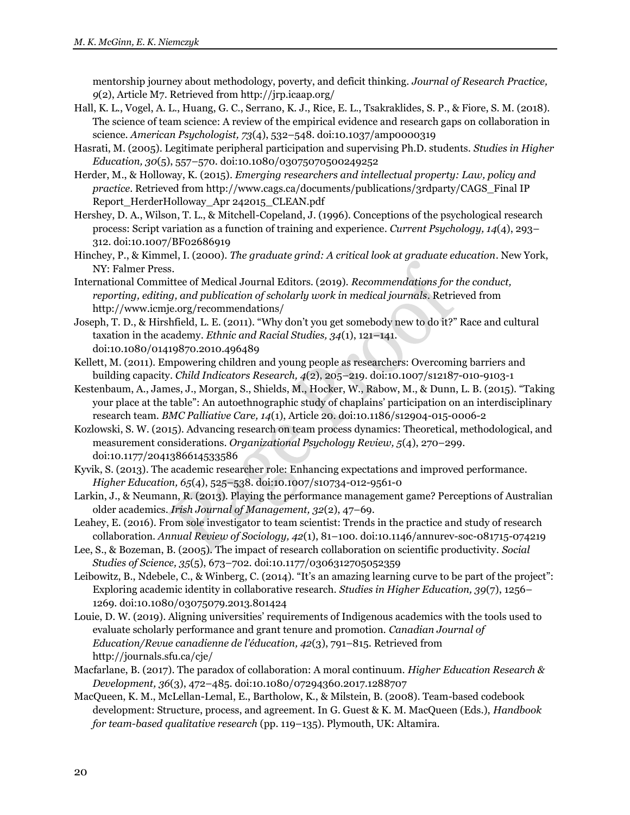mentorship journey about methodology, poverty, and deficit thinking. *Journal of Research Practice, 9*(2), Article M7. Retrieved from http://jrp.icaap.org/

- Hall, K. L., Vogel, A. L., Huang, G. C., Serrano, K. J., Rice, E. L., Tsakraklides, S. P., & Fiore, S. M. (2018). The science of team science: A review of the empirical evidence and research gaps on collaboration in science. *American Psychologist, 73*(4), 532–548. doi:10.1037/amp0000319
- Hasrati, M. (2005). Legitimate peripheral participation and supervising Ph.D. students. *Studies in Higher Education, 30*(5), 557–570. doi:10.1080/03075070500249252
- Herder, M., & Holloway, K. (2015). *Emerging researchers and intellectual property: Law, policy and practice*. Retrieved from http://www.cags.ca/documents/publications/3rdparty/CAGS\_Final IP Report\_HerderHolloway\_Apr 242015\_CLEAN.pdf
- Hershey, D. A., Wilson, T. L., & Mitchell-Copeland, J. (1996). Conceptions of the psychological research process: Script variation as a function of training and experience. *Current Psychology, 14*(4), 293– 312. doi:10.1007/BF02686919
- Hinchey, P., & Kimmel, I. (2000). *The graduate grind: A critical look at graduate education*. New York, NY: Falmer Press.
- International Committee of Medical Journal Editors. (2019). *Recommendations for the conduct, reporting, editing, and publication of scholarly work in medical journals*. Retrieved from http://www.icmje.org/recommendations/
- Joseph, T. D., & Hirshfield, L. E. (2011). "Why don't you get somebody new to do it?" Race and cultural taxation in the academy. *Ethnic and Racial Studies, 34*(1), 121–141. doi:10.1080/01419870.2010.496489
- Kellett, M. (2011). Empowering children and young people as researchers: Overcoming barriers and building capacity. *Child Indicators Research, 4*(2), 205–219. doi:10.1007/s12187-010-9103-1
- Kestenbaum, A., James, J., Morgan, S., Shields, M., Hocker, W., Rabow, M., & Dunn, L. B. (2015). "Taking your place at the table": An autoethnographic study of chaplains' participation on an interdisciplinary research team. *BMC Palliative Care, 14*(1), Article 20. doi:10.1186/s12904-015-0006-2
- Kozlowski, S. W. (2015). Advancing research on team process dynamics: Theoretical, methodological, and measurement considerations. *Organizational Psychology Review, 5*(4), 270–299. doi:10.1177/2041386614533586
- Kyvik, S. (2013). The academic researcher role: Enhancing expectations and improved performance. *Higher Education, 65*(4), 525–538. doi:10.1007/s10734-012-9561-0
- Larkin, J., & Neumann, R. (2013). Playing the performance management game? Perceptions of Australian older academics. *Irish Journal of Management, 32*(2), 47–69.
- Leahey, E. (2016). From sole investigator to team scientist: Trends in the practice and study of research collaboration. *Annual Review of Sociology, 42*(1), 81–100. doi:10.1146/annurev-soc-081715-074219
- Lee, S., & Bozeman, B. (2005). The impact of research collaboration on scientific productivity. *Social Studies of Science, 35*(5), 673–702. doi:10.1177/0306312705052359
- Leibowitz, B., Ndebele, C., & Winberg, C. (2014). "It's an amazing learning curve to be part of the project": Exploring academic identity in collaborative research. *Studies in Higher Education, 39*(7), 1256– 1269. doi:10.1080/03075079.2013.801424
- Louie, D. W. (2019). Aligning universities' requirements of Indigenous academics with the tools used to evaluate scholarly performance and grant tenure and promotion. *Canadian Journal of Education/Revue canadienne de l'éducation, 42*(3), 791–815. Retrieved from http://journals.sfu.ca/cje/
- Macfarlane, B. (2017). The paradox of collaboration: A moral continuum. *Higher Education Research & Development, 36*(3), 472–485. doi:10.1080/07294360.2017.1288707
- MacQueen, K. M., McLellan-Lemal, E., Bartholow, K., & Milstein, B. (2008). Team-based codebook development: Structure, process, and agreement. In G. Guest & K. M. MacQueen (Eds.), *Handbook for team-based qualitative research* (pp. 119–135). Plymouth, UK: Altamira.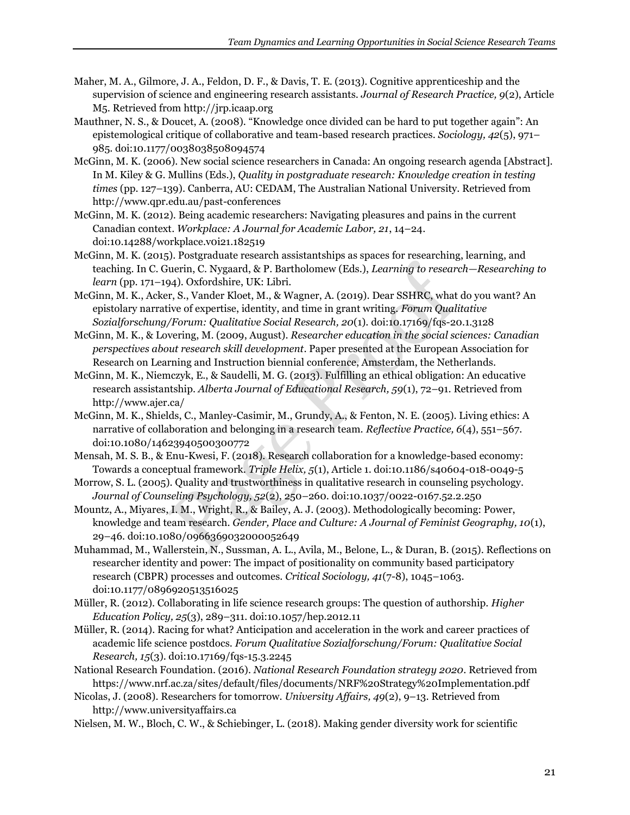- Maher, M. A., Gilmore, J. A., Feldon, D. F., & Davis, T. E. (2013). Cognitive apprenticeship and the supervision of science and engineering research assistants. *Journal of Research Practice, 9*(2), Article M5. Retrieved from http://jrp.icaap.org
- Mauthner, N. S., & Doucet, A. (2008). "Knowledge once divided can be hard to put together again": An epistemological critique of collaborative and team-based research practices. *Sociology, 42*(5), 971– 985. doi:10.1177/0038038508094574
- McGinn, M. K. (2006). New social science researchers in Canada: An ongoing research agenda [Abstract]. In M. Kiley & G. Mullins (Eds.), *Quality in postgraduate research: Knowledge creation in testing times* (pp. 127–139). Canberra, AU: CEDAM, The Australian National University. Retrieved from http://www.qpr.edu.au/past-conferences
- McGinn, M. K. (2012). Being academic researchers: Navigating pleasures and pains in the current Canadian context. *Workplace: A Journal for Academic Labor, 21*, 14–24. doi:10.14288/workplace.v0i21.182519
- McGinn, M. K. (2015). Postgraduate research assistantships as spaces for researching, learning, and teaching. In C. Guerin, C. Nygaard, & P. Bartholomew (Eds.), *Learning to research—Researching to learn* (pp. 171–194). Oxfordshire, UK: Libri.
- McGinn, M. K., Acker, S., Vander Kloet, M., & Wagner, A. (2019). Dear SSHRC, what do you want? An epistolary narrative of expertise, identity, and time in grant writing. *Forum Qualitative Sozialforschung/Forum: Qualitative Social Research, 20*(1). doi:10.17169/fqs-20.1.3128
- McGinn, M. K., & Lovering, M. (2009, August). *Researcher education in the social sciences: Canadian perspectives about research skill development*. Paper presented at the European Association for Research on Learning and Instruction biennial conference, Amsterdam, the Netherlands.
- McGinn, M. K., Niemczyk, E., & Saudelli, M. G. (2013). Fulfilling an ethical obligation: An educative research assistantship. *Alberta Journal of Educational Research, 59*(1), 72–91. Retrieved from http://www.ajer.ca/
- McGinn, M. K., Shields, C., Manley-Casimir, M., Grundy, A., & Fenton, N. E. (2005). Living ethics: A narrative of collaboration and belonging in a research team. *Reflective Practice, 6*(4), 551–567. doi:10.1080/14623940500300772
- Mensah, M. S. B., & Enu-Kwesi, F. (2018). Research collaboration for a knowledge-based economy: Towards a conceptual framework. *Triple Helix, 5*(1), Article 1. doi:10.1186/s40604-018-0049-5
- Morrow, S. L. (2005). Quality and trustworthiness in qualitative research in counseling psychology. *Journal of Counseling Psychology, 52*(2), 250–260. doi:10.1037/0022-0167.52.2.250
- Mountz, A., Miyares, I. M., Wright, R., & Bailey, A. J. (2003). Methodologically becoming: Power, knowledge and team research. *Gender, Place and Culture: A Journal of Feminist Geography, 10*(1), 29–46. doi:10.1080/0966369032000052649
- Muhammad, M., Wallerstein, N., Sussman, A. L., Avila, M., Belone, L., & Duran, B. (2015). Reflections on researcher identity and power: The impact of positionality on community based participatory research (CBPR) processes and outcomes. *Critical Sociology, 41*(7-8), 1045–1063. doi:10.1177/0896920513516025
- Müller, R. (2012). Collaborating in life science research groups: The question of authorship. *Higher Education Policy, 25*(3), 289–311. doi:10.1057/hep.2012.11
- Müller, R. (2014). Racing for what? Anticipation and acceleration in the work and career practices of academic life science postdocs. *Forum Qualitative Sozialforschung/Forum: Qualitative Social Research, 15*(3). doi:10.17169/fqs-15.3.2245
- National Research Foundation. (2016). *National Research Foundation strategy 2020*. Retrieved from https://www.nrf.ac.za/sites/default/files/documents/NRF%20Strategy%20Implementation.pdf
- Nicolas, J. (2008). Researchers for tomorrow. *University Affairs, 49*(2), 9–13. Retrieved from http://www.universityaffairs.ca
- Nielsen, M. W., Bloch, C. W., & Schiebinger, L. (2018). Making gender diversity work for scientific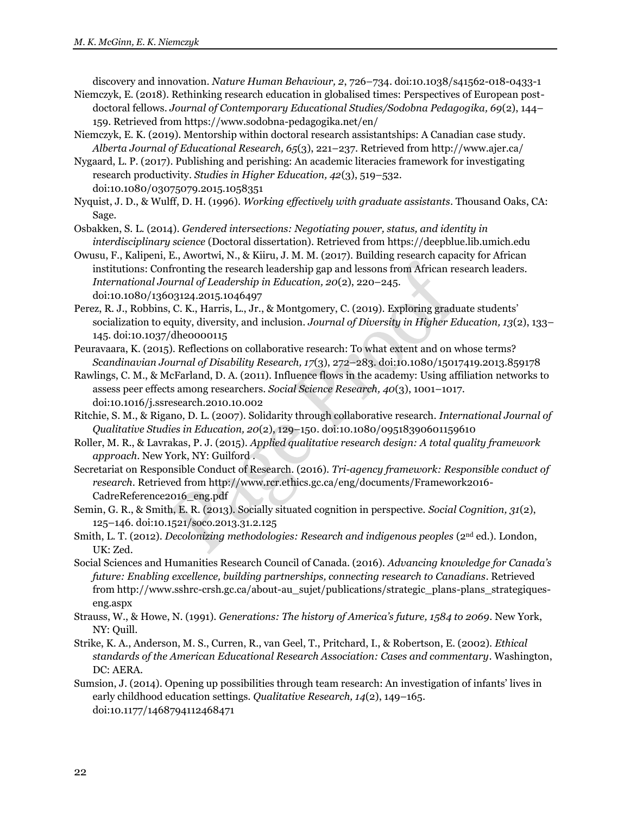discovery and innovation. *Nature Human Behaviour, 2*, 726–734. doi:10.1038/s41562-018-0433-1

- Niemczyk, E. (2018). Rethinking research education in globalised times: Perspectives of European postdoctoral fellows. *Journal of Contemporary Educational Studies/Sodobna Pedagogika, 69*(2), 144– 159. Retrieved from https://www.sodobna-pedagogika.net/en/
- Niemczyk, E. K. (2019). Mentorship within doctoral research assistantships: A Canadian case study. *Alberta Journal of Educational Research, 65*(3), 221–237. Retrieved from http://www.ajer.ca/
- Nygaard, L. P. (2017). Publishing and perishing: An academic literacies framework for investigating research productivity. *Studies in Higher Education, 42*(3), 519–532. doi:10.1080/03075079.2015.1058351
- Nyquist, J. D., & Wulff, D. H. (1996). *Working effectively with graduate assistants*. Thousand Oaks, CA: Sage.
- Osbakken, S. L. (2014). *Gendered intersections: Negotiating power, status, and identity in interdisciplinary science* (Doctoral dissertation). Retrieved from https://deepblue.lib.umich.edu
- Owusu, F., Kalipeni, E., Awortwi, N., & Kiiru, J. M. M. (2017). Building research capacity for African institutions: Confronting the research leadership gap and lessons from African research leaders. *International Journal of Leadership in Education, 20*(2), 220–245. doi:10.1080/13603124.2015.1046497
- Perez, R. J., Robbins, C. K., Harris, L., Jr., & Montgomery, C. (2019). Exploring graduate students' socialization to equity, diversity, and inclusion. *Journal of Diversity in Higher Education, 13*(2), 133– 145. doi:10.1037/dhe0000115
- Peuravaara, K. (2015). Reflections on collaborative research: To what extent and on whose terms? *Scandinavian Journal of Disability Research, 17*(3), 272–283. doi:10.1080/15017419.2013.859178
- Rawlings, C. M., & McFarland, D. A. (2011). Influence flows in the academy: Using affiliation networks to assess peer effects among researchers. *Social Science Research, 40*(3), 1001–1017. doi:10.1016/j.ssresearch.2010.10.002
- Ritchie, S. M., & Rigano, D. L. (2007). Solidarity through collaborative research. *International Journal of Qualitative Studies in Education, 20*(2), 129–150. doi:10.1080/09518390601159610
- Roller, M. R., & Lavrakas, P. J. (2015). *Applied qualitative research design: A total quality framework approach*. New York, NY: Guilford .
- Secretariat on Responsible Conduct of Research. (2016). *Tri-agency framework: Responsible conduct of research*. Retrieved from http://www.rcr.ethics.gc.ca/eng/documents/Framework2016- CadreReference2016\_eng.pdf
- Semin, G. R., & Smith, E. R. (2013). Socially situated cognition in perspective. *Social Cognition, 31*(2), 125–146. doi:10.1521/soco.2013.31.2.125
- Smith, L. T. (2012). *Decolonizing methodologies: Research and indigenous peoples* (2nd ed.). London, UK: Zed.
- Social Sciences and Humanities Research Council of Canada. (2016). *Advancing knowledge for Canada's future: Enabling excellence, building partnerships, connecting research to Canadians*. Retrieved from http://www.sshrc-crsh.gc.ca/about-au\_sujet/publications/strategic\_plans-plans\_strategiqueseng.aspx
- Strauss, W., & Howe, N. (1991). *Generations: The history of America's future, 1584 to 2069*. New York, NY: Quill.
- Strike, K. A., Anderson, M. S., Curren, R., van Geel, T., Pritchard, I., & Robertson, E. (2002). *Ethical standards of the American Educational Research Association: Cases and commentary*. Washington, DC: AERA.
- Sumsion, J. (2014). Opening up possibilities through team research: An investigation of infants' lives in early childhood education settings. *Qualitative Research, 14*(2), 149–165. doi:10.1177/1468794112468471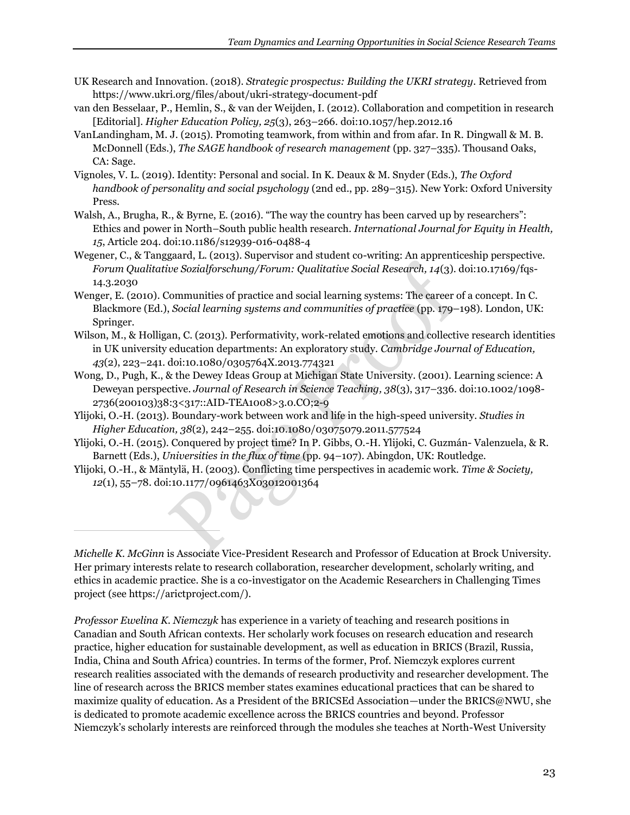- UK Research and Innovation. (2018). *Strategic prospectus: Building the UKRI strategy*. Retrieved from https://www.ukri.org/files/about/ukri-strategy-document-pdf
- van den Besselaar, P., Hemlin, S., & van der Weijden, I. (2012). Collaboration and competition in research [Editorial]. *Higher Education Policy, 25*(3), 263–266. doi:10.1057/hep.2012.16
- VanLandingham, M. J. (2015). Promoting teamwork, from within and from afar. In R. Dingwall & M. B. McDonnell (Eds.), *The SAGE handbook of research management* (pp. 327–335). Thousand Oaks, CA: Sage.
- Vignoles, V. L. (2019). Identity: Personal and social. In K. Deaux & M. Snyder (Eds.), *The Oxford handbook of personality and social psychology* (2nd ed., pp. 289–315). New York: Oxford University Press.
- Walsh, A., Brugha, R., & Byrne, E. (2016). "The way the country has been carved up by researchers": Ethics and power in North–South public health research. *International Journal for Equity in Health, 15*, Article 204. doi:10.1186/s12939-016-0488-4
- Wegener, C., & Tanggaard, L. (2013). Supervisor and student co-writing: An apprenticeship perspective. *Forum Qualitative Sozialforschung/Forum: Qualitative Social Research, 14*(3). doi:10.17169/fqs-14.3.2030
- Wenger, E. (2010). Communities of practice and social learning systems: The career of a concept. In C. Blackmore (Ed.), *Social learning systems and communities of practice* (pp. 179–198). London, UK: Springer.
- Wilson, M., & Holligan, C. (2013). Performativity, work-related emotions and collective research identities in UK university education departments: An exploratory study. *Cambridge Journal of Education, 43*(2), 223–241. doi:10.1080/0305764X.2013.774321
- Wong, D., Pugh, K., & the Dewey Ideas Group at Michigan State University. (2001). Learning science: A Deweyan perspective. *Journal of Research in Science Teaching, 38*(3), 317–336. doi:10.1002/1098- 2736(200103)38:3<317::AID-TEA1008>3.0.CO;2-9
- Ylijoki, O.-H. (2013). Boundary-work between work and life in the high-speed university. *Studies in Higher Education, 38*(2), 242–255. doi:10.1080/03075079.2011.577524
- Ylijoki, O.-H. (2015). Conquered by project time? In P. Gibbs, O.-H. Ylijoki, C. Guzmán- Valenzuela, & R. Barnett (Eds.), *Universities in the flux of time* (pp. 94–107). Abingdon, UK: Routledge.
- Ylijoki, O.-H., & Mäntylä, H. (2003). Conflicting time perspectives in academic work. *Time & Society, 12*(1), 55–78. doi:10.1177/0961463X03012001364

*Michelle K. McGinn* is Associate Vice-President Research and Professor of Education at Brock University. Her primary interests relate to research collaboration, researcher development, scholarly writing, and ethics in academic practice. She is a co-investigator on the Academic Researchers in Challenging Times project (see https://arictproject.com/).

*Professor Ewelina K. Niemczyk* has experience in a variety of teaching and research positions in Canadian and South African contexts. Her scholarly work focuses on research education and research practice, higher education for sustainable development, as well as education in BRICS (Brazil, Russia, India, China and South Africa) countries. In terms of the former, Prof. Niemczyk explores current research realities associated with the demands of research productivity and researcher development. The line of research across the BRICS member states examines educational practices that can be shared to maximize quality of education. As a President of the BRICSEd Association—under the BRICS@NWU, she is dedicated to promote academic excellence across the BRICS countries and beyond. Professor Niemczyk's scholarly interests are reinforced through the modules she teaches at North-West University